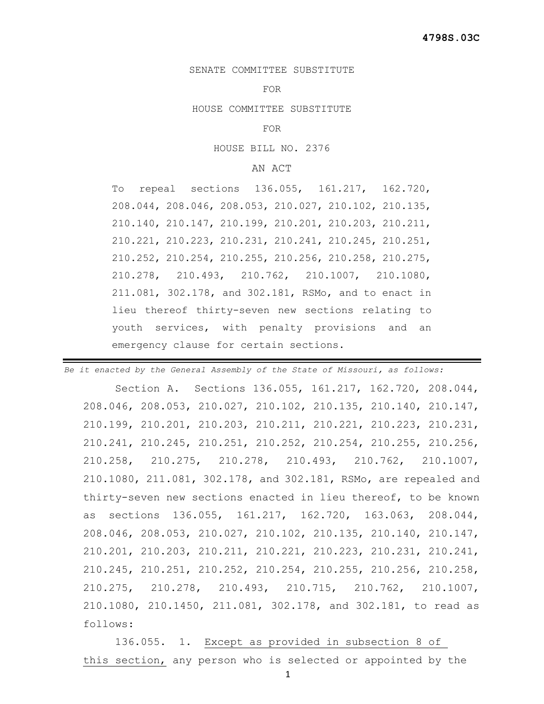## SENATE COMMITTEE SUBSTITUTE

## FOR

HOUSE COMMITTEE SUBSTITUTE

FOR

HOUSE BILL NO. 2376

## AN ACT

To repeal sections 136.055, 161.217, 162.720, 208.044, 208.046, 208.053, 210.027, 210.102, 210.135, 210.140, 210.147, 210.199, 210.201, 210.203, 210.211, 210.221, 210.223, 210.231, 210.241, 210.245, 210.251, 210.252, 210.254, 210.255, 210.256, 210.258, 210.275, 210.278, 210.493, 210.762, 210.1007, 210.1080, 211.081, 302.178, and 302.181, RSMo, and to enact in lieu thereof thirty-seven new sections relating to youth services, with penalty provisions and an emergency clause for certain sections.

*Be it enacted by the General Assembly of the State of Missouri, as follows:* Section A. Sections 136.055, 161.217, 162.720, 208.044, 208.046, 208.053, 210.027, 210.102, 210.135, 210.140, 210.147, 210.199, 210.201, 210.203, 210.211, 210.221, 210.223, 210.231, 210.241, 210.245, 210.251, 210.252, 210.254, 210.255, 210.256, 210.258, 210.275, 210.278, 210.493, 210.762, 210.1007, 210.1080, 211.081, 302.178, and 302.181, RSMo, are repealed and thirty-seven new sections enacted in lieu thereof, to be known as sections 136.055, 161.217, 162.720, 163.063, 208.044, 208.046, 208.053, 210.027, 210.102, 210.135, 210.140, 210.147, 210.201, 210.203, 210.211, 210.221, 210.223, 210.231, 210.241, 210.245, 210.251, 210.252, 210.254, 210.255, 210.256, 210.258, 210.275, 210.278, 210.493, 210.715, 210.762, 210.1007, 210.1080, 210.1450, 211.081, 302.178, and 302.181, to read as follows:

 136.055. 1. Except as provided in subsection 8 of this section, any person who is selected or appointed by the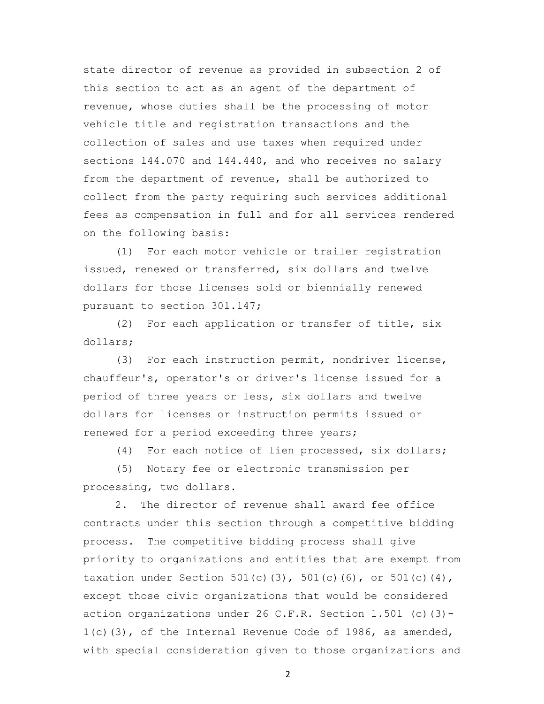state director of revenue as provided in subsection 2 of this section to act as an agent of the department of revenue, whose duties shall be the processing of motor vehicle title and registration transactions and the collection of sales and use taxes when required under sections 144.070 and 144.440, and who receives no salary from the department of revenue, shall be authorized to collect from the party requiring such services additional fees as compensation in full and for all services rendered on the following basis:

 (1) For each motor vehicle or trailer registration issued, renewed or transferred, six dollars and twelve dollars for those licenses sold or biennially renewed pursuant to section 301.147;

 (2) For each application or transfer of title, six dollars;

 (3) For each instruction permit, nondriver license, chauffeur's, operator's or driver's license issued for a period of three years or less, six dollars and twelve dollars for licenses or instruction permits issued or renewed for a period exceeding three years;

(4) For each notice of lien processed, six dollars;

 (5) Notary fee or electronic transmission per processing, two dollars.

 2. The director of revenue shall award fee office contracts under this section through a competitive bidding process. The competitive bidding process shall give priority to organizations and entities that are exempt from taxation under Section 501(c)(3), 501(c)(6), or 501(c)(4), except those civic organizations that would be considered action organizations under 26 C.F.R. Section 1.501 (c)(3)- 1(c)(3), of the Internal Revenue Code of 1986, as amended, with special consideration given to those organizations and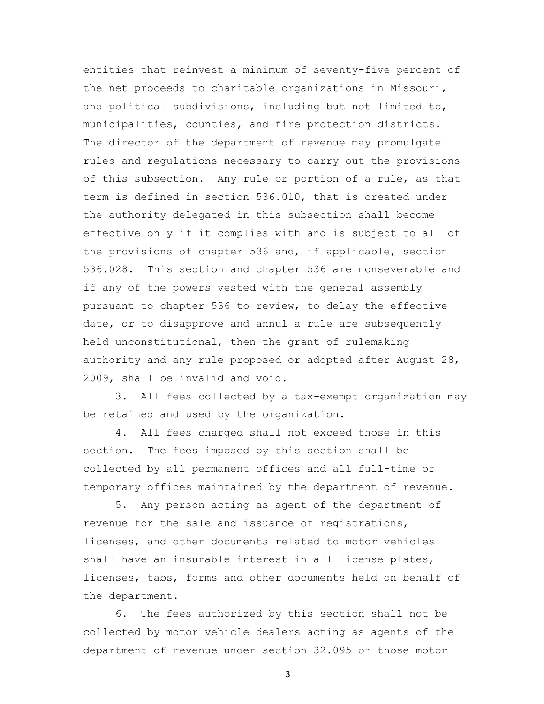entities that reinvest a minimum of seventy-five percent of the net proceeds to charitable organizations in Missouri, and political subdivisions, including but not limited to, municipalities, counties, and fire protection districts. The director of the department of revenue may promulgate rules and regulations necessary to carry out the provisions of this subsection. Any rule or portion of a rule, as that term is defined in section 536.010, that is created under the authority delegated in this subsection shall become effective only if it complies with and is subject to all of the provisions of chapter 536 and, if applicable, section 536.028. This section and chapter 536 are nonseverable and if any of the powers vested with the general assembly pursuant to chapter 536 to review, to delay the effective date, or to disapprove and annul a rule are subsequently held unconstitutional, then the grant of rulemaking authority and any rule proposed or adopted after August 28, 2009, shall be invalid and void.

 3. All fees collected by a tax-exempt organization may be retained and used by the organization.

 4. All fees charged shall not exceed those in this section. The fees imposed by this section shall be collected by all permanent offices and all full-time or temporary offices maintained by the department of revenue.

 5. Any person acting as agent of the department of revenue for the sale and issuance of registrations, licenses, and other documents related to motor vehicles shall have an insurable interest in all license plates, licenses, tabs, forms and other documents held on behalf of the department.

 6. The fees authorized by this section shall not be collected by motor vehicle dealers acting as agents of the department of revenue under section 32.095 or those motor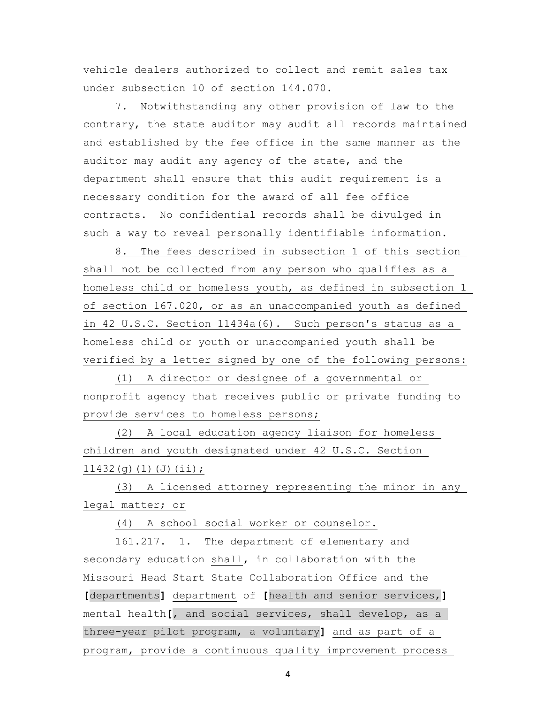vehicle dealers authorized to collect and remit sales tax under subsection 10 of section 144.070.

 7. Notwithstanding any other provision of law to the contrary, the state auditor may audit all records maintained and established by the fee office in the same manner as the auditor may audit any agency of the state, and the department shall ensure that this audit requirement is a necessary condition for the award of all fee office contracts. No confidential records shall be divulged in such a way to reveal personally identifiable information.

 8. The fees described in subsection 1 of this section shall not be collected from any person who qualifies as a homeless child or homeless youth, as defined in subsection 1 of section 167.020, or as an unaccompanied youth as defined in 42 U.S.C. Section 11434a(6). Such person's status as a homeless child or youth or unaccompanied youth shall be verified by a letter signed by one of the following persons:

 (1) A director or designee of a governmental or nonprofit agency that receives public or private funding to provide services to homeless persons;

 (2) A local education agency liaison for homeless children and youth designated under 42 U.S.C. Section 11432(g)(1)(J)(ii);

 (3) A licensed attorney representing the minor in any legal matter; or

(4) A school social worker or counselor.

 161.217. 1. The department of elementary and secondary education shall, in collaboration with the Missouri Head Start State Collaboration Office and the **[**departments**]** department of **[**health and senior services,**]** mental health**[**, and social services, shall develop, as a three-year pilot program, a voluntary**]** and as part of a program, provide a continuous quality improvement process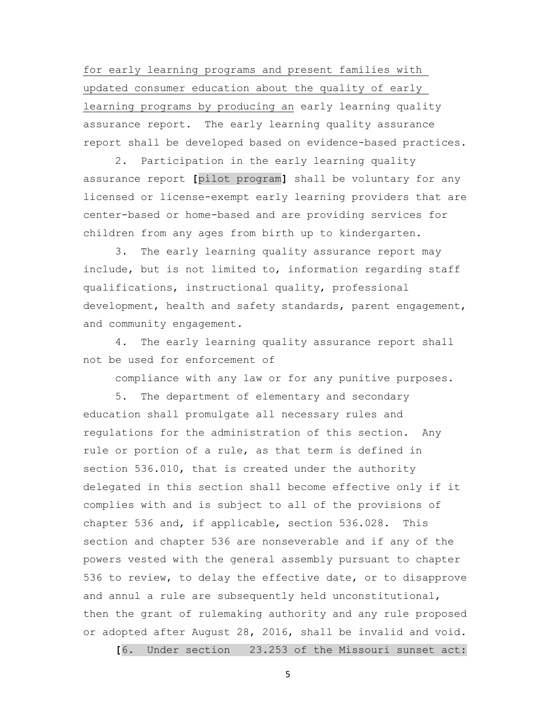for early learning programs and present families with updated consumer education about the quality of early learning programs by producing an early learning quality assurance report. The early learning quality assurance report shall be developed based on evidence-based practices.

 2. Participation in the early learning quality assurance report **[**pilot program**]** shall be voluntary for any licensed or license-exempt early learning providers that are center-based or home-based and are providing services for children from any ages from birth up to kindergarten.

 3. The early learning quality assurance report may include, but is not limited to, information regarding staff qualifications, instructional quality, professional development, health and safety standards, parent engagement, and community engagement.

 4. The early learning quality assurance report shall not be used for enforcement of

compliance with any law or for any punitive purposes.

 5. The department of elementary and secondary education shall promulgate all necessary rules and regulations for the administration of this section. Any rule or portion of a rule, as that term is defined in section 536.010, that is created under the authority delegated in this section shall become effective only if it complies with and is subject to all of the provisions of chapter 536 and, if applicable, section 536.028. This section and chapter 536 are nonseverable and if any of the powers vested with the general assembly pursuant to chapter 536 to review, to delay the effective date, or to disapprove and annul a rule are subsequently held unconstitutional, then the grant of rulemaking authority and any rule proposed or adopted after August 28, 2016, shall be invalid and void.

**[**6. Under section 23.253 of the Missouri sunset act: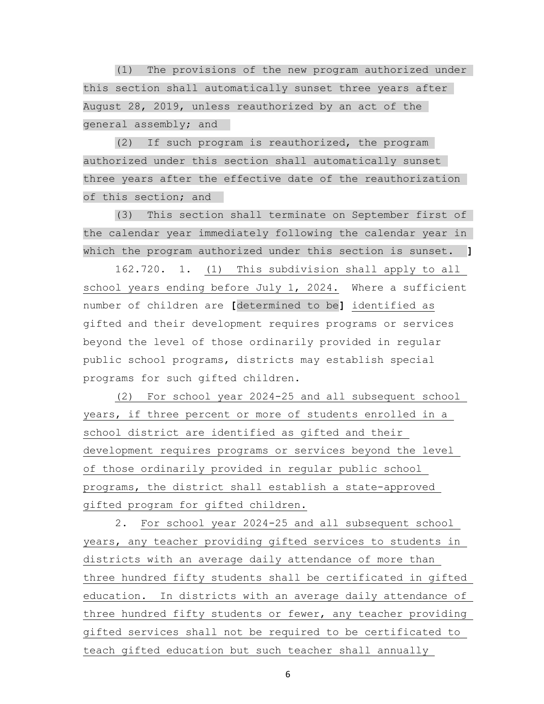(1) The provisions of the new program authorized under this section shall automatically sunset three years after August 28, 2019, unless reauthorized by an act of the general assembly; and

 (2) If such program is reauthorized, the program authorized under this section shall automatically sunset three years after the effective date of the reauthorization of this section; and

 (3) This section shall terminate on September first of the calendar year immediately following the calendar year in which the program authorized under this section is sunset. **]**

 162.720. 1. (1) This subdivision shall apply to all school years ending before July 1, 2024. Where a sufficient number of children are **[**determined to be**]** identified as gifted and their development requires programs or services beyond the level of those ordinarily provided in regular public school programs, districts may establish special programs for such gifted children.

 (2) For school year 2024-25 and all subsequent school years, if three percent or more of students enrolled in a school district are identified as gifted and their development requires programs or services beyond the level of those ordinarily provided in regular public school programs, the district shall establish a state-approved gifted program for gifted children.

 2. For school year 2024-25 and all subsequent school years, any teacher providing gifted services to students in districts with an average daily attendance of more than three hundred fifty students shall be certificated in gifted education. In districts with an average daily attendance of three hundred fifty students or fewer, any teacher providing gifted services shall not be required to be certificated to teach gifted education but such teacher shall annually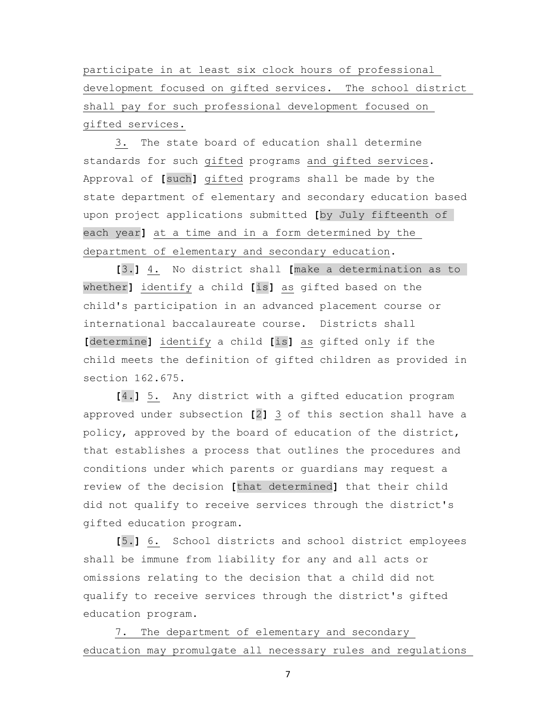participate in at least six clock hours of professional development focused on gifted services. The school district shall pay for such professional development focused on gifted services.

 3. The state board of education shall determine standards for such gifted programs and gifted services. Approval of **[**such**]** gifted programs shall be made by the state department of elementary and secondary education based upon project applications submitted **[**by July fifteenth of each year**]** at a time and in a form determined by the department of elementary and secondary education.

 **[**3.**]** 4. No district shall **[**make a determination as to whether**]** identify a child **[**is**]** as gifted based on the child's participation in an advanced placement course or international baccalaureate course. Districts shall **[**determine**]** identify a child **[**is**]** as gifted only if the child meets the definition of gifted children as provided in section 162.675.

 **[**4.**]** 5. Any district with a gifted education program approved under subsection **[**2**]** 3 of this section shall have a policy, approved by the board of education of the district, that establishes a process that outlines the procedures and conditions under which parents or guardians may request a review of the decision **[**that determined**]** that their child did not qualify to receive services through the district's gifted education program.

 **[**5.**]** 6. School districts and school district employees shall be immune from liability for any and all acts or omissions relating to the decision that a child did not qualify to receive services through the district's gifted education program.

 7. The department of elementary and secondary education may promulgate all necessary rules and regulations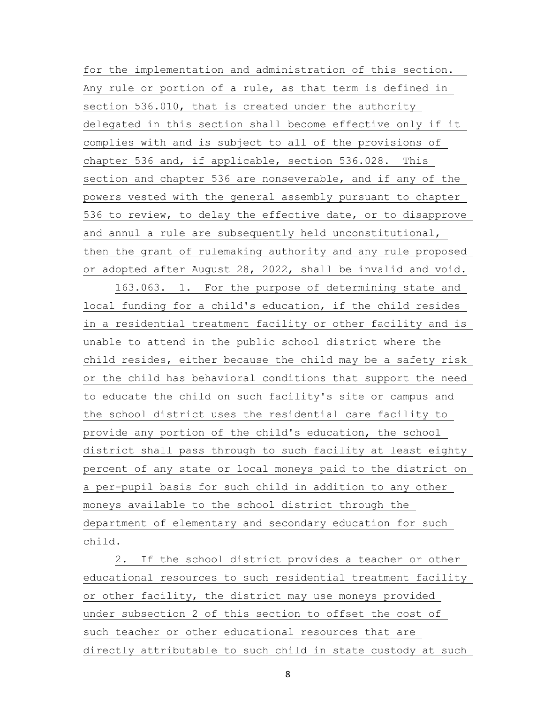for the implementation and administration of this section. Any rule or portion of a rule, as that term is defined in section 536.010, that is created under the authority delegated in this section shall become effective only if it complies with and is subject to all of the provisions of chapter 536 and, if applicable, section 536.028. This section and chapter 536 are nonseverable, and if any of the powers vested with the general assembly pursuant to chapter 536 to review, to delay the effective date, or to disapprove and annul a rule are subsequently held unconstitutional, then the grant of rulemaking authority and any rule proposed or adopted after August 28, 2022, shall be invalid and void.

 163.063. 1. For the purpose of determining state and local funding for a child's education, if the child resides in a residential treatment facility or other facility and is unable to attend in the public school district where the child resides, either because the child may be a safety risk or the child has behavioral conditions that support the need to educate the child on such facility's site or campus and the school district uses the residential care facility to provide any portion of the child's education, the school district shall pass through to such facility at least eighty percent of any state or local moneys paid to the district on a per-pupil basis for such child in addition to any other moneys available to the school district through the department of elementary and secondary education for such child.

 2. If the school district provides a teacher or other educational resources to such residential treatment facility or other facility, the district may use moneys provided under subsection 2 of this section to offset the cost of such teacher or other educational resources that are directly attributable to such child in state custody at such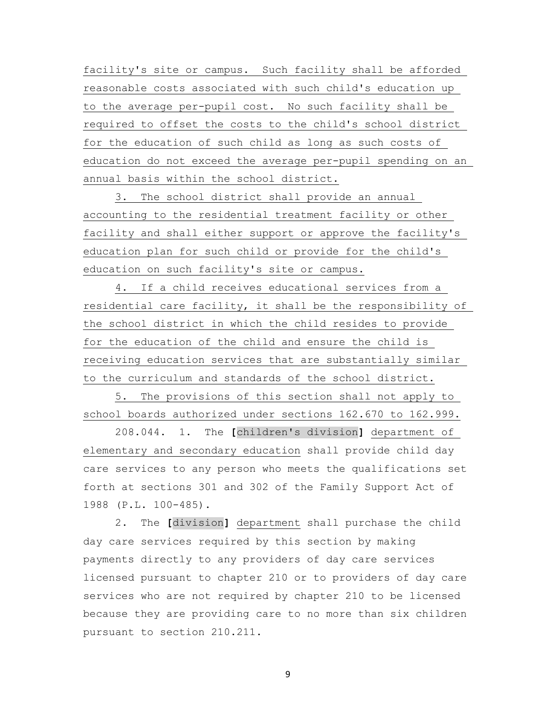facility's site or campus. Such facility shall be afforded reasonable costs associated with such child's education up to the average per-pupil cost. No such facility shall be required to offset the costs to the child's school district for the education of such child as long as such costs of education do not exceed the average per-pupil spending on an annual basis within the school district.

 3. The school district shall provide an annual accounting to the residential treatment facility or other facility and shall either support or approve the facility's education plan for such child or provide for the child's education on such facility's site or campus.

 4. If a child receives educational services from a residential care facility, it shall be the responsibility of the school district in which the child resides to provide for the education of the child and ensure the child is receiving education services that are substantially similar to the curriculum and standards of the school district.

 5. The provisions of this section shall not apply to school boards authorized under sections 162.670 to 162.999.

 208.044. 1. The **[**children's division**]** department of elementary and secondary education shall provide child day care services to any person who meets the qualifications set forth at sections 301 and 302 of the Family Support Act of 1988 (P.L. 100-485).

 2. The **[**division**]** department shall purchase the child day care services required by this section by making payments directly to any providers of day care services licensed pursuant to chapter 210 or to providers of day care services who are not required by chapter 210 to be licensed because they are providing care to no more than six children pursuant to section 210.211.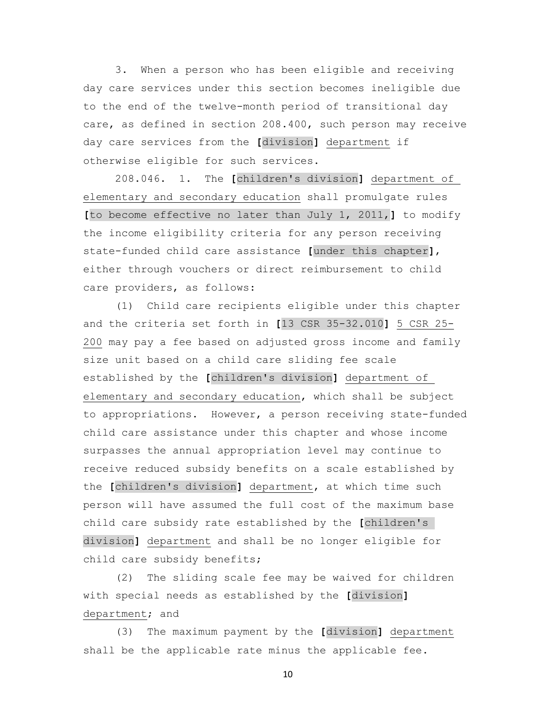3. When a person who has been eligible and receiving day care services under this section becomes ineligible due to the end of the twelve-month period of transitional day care, as defined in section 208.400, such person may receive day care services from the **[**division**]** department if otherwise eligible for such services.

 208.046. 1. The **[**children's division**]** department of elementary and secondary education shall promulgate rules **[**to become effective no later than July 1, 2011,**]** to modify the income eligibility criteria for any person receiving state-funded child care assistance **[**under this chapter**]**, either through vouchers or direct reimbursement to child care providers, as follows:

 (1) Child care recipients eligible under this chapter and the criteria set forth in **[**13 CSR 35-32.010**]** 5 CSR 25- 200 may pay a fee based on adjusted gross income and family size unit based on a child care sliding fee scale established by the **[**children's division**]** department of elementary and secondary education, which shall be subject to appropriations. However, a person receiving state-funded child care assistance under this chapter and whose income surpasses the annual appropriation level may continue to receive reduced subsidy benefits on a scale established by the **[**children's division**]** department, at which time such person will have assumed the full cost of the maximum base child care subsidy rate established by the **[**children's division**]** department and shall be no longer eligible for child care subsidy benefits;

 (2) The sliding scale fee may be waived for children with special needs as established by the **[**division**]** department; and

 (3) The maximum payment by the **[**division**]** department shall be the applicable rate minus the applicable fee.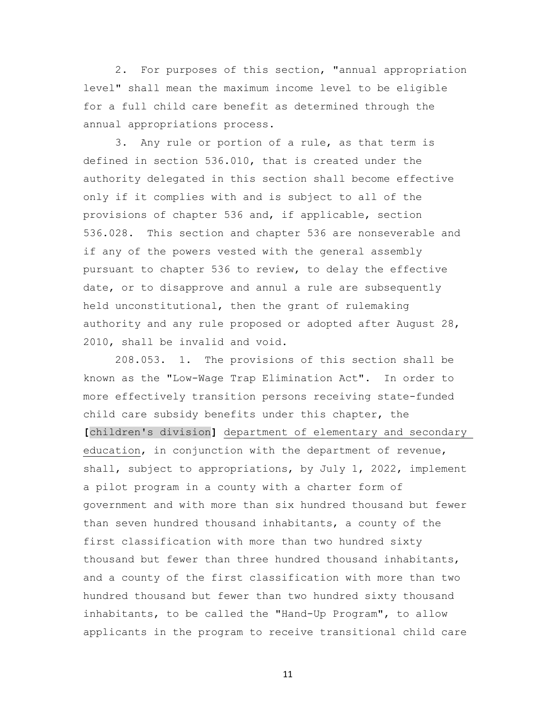2. For purposes of this section, "annual appropriation level" shall mean the maximum income level to be eligible for a full child care benefit as determined through the annual appropriations process.

 3. Any rule or portion of a rule, as that term is defined in section 536.010, that is created under the authority delegated in this section shall become effective only if it complies with and is subject to all of the provisions of chapter 536 and, if applicable, section 536.028. This section and chapter 536 are nonseverable and if any of the powers vested with the general assembly pursuant to chapter 536 to review, to delay the effective date, or to disapprove and annul a rule are subsequently held unconstitutional, then the grant of rulemaking authority and any rule proposed or adopted after August 28, 2010, shall be invalid and void.

 208.053. 1. The provisions of this section shall be known as the "Low-Wage Trap Elimination Act". In order to more effectively transition persons receiving state-funded child care subsidy benefits under this chapter, the **[**children's division**]** department of elementary and secondary education, in conjunction with the department of revenue, shall, subject to appropriations, by July 1, 2022, implement a pilot program in a county with a charter form of government and with more than six hundred thousand but fewer than seven hundred thousand inhabitants, a county of the first classification with more than two hundred sixty thousand but fewer than three hundred thousand inhabitants, and a county of the first classification with more than two hundred thousand but fewer than two hundred sixty thousand inhabitants, to be called the "Hand-Up Program", to allow applicants in the program to receive transitional child care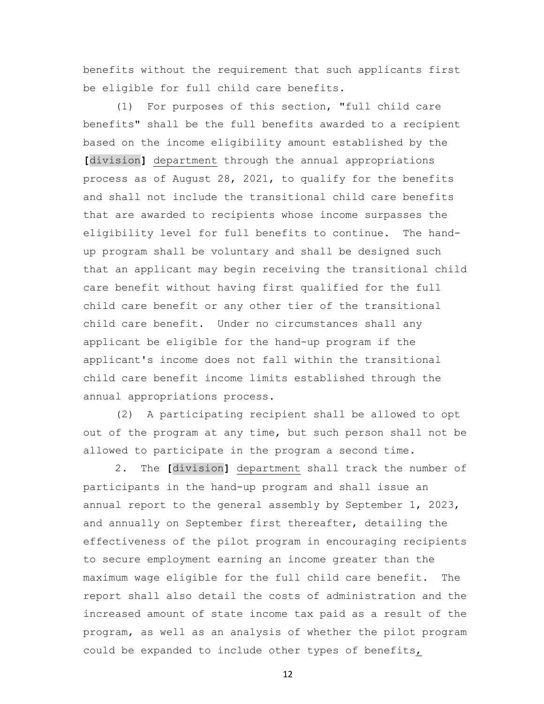benefits without the requirement that such applicants first be eligible for full child care benefits.

 (1) For purposes of this section, "full child care benefits" shall be the full benefits awarded to a recipient based on the income eligibility amount established by the **[**division**]** department through the annual appropriations process as of August 28, 2021, to qualify for the benefits and shall not include the transitional child care benefits that are awarded to recipients whose income surpasses the eligibility level for full benefits to continue. The handup program shall be voluntary and shall be designed such that an applicant may begin receiving the transitional child care benefit without having first qualified for the full child care benefit or any other tier of the transitional child care benefit. Under no circumstances shall any applicant be eligible for the hand-up program if the applicant's income does not fall within the transitional child care benefit income limits established through the annual appropriations process.

 (2) A participating recipient shall be allowed to opt out of the program at any time, but such person shall not be allowed to participate in the program a second time.

 2. The **[**division**]** department shall track the number of participants in the hand-up program and shall issue an annual report to the general assembly by September 1, 2023, and annually on September first thereafter, detailing the effectiveness of the pilot program in encouraging recipients to secure employment earning an income greater than the maximum wage eligible for the full child care benefit. The report shall also detail the costs of administration and the increased amount of state income tax paid as a result of the program, as well as an analysis of whether the pilot program could be expanded to include other types of benefits,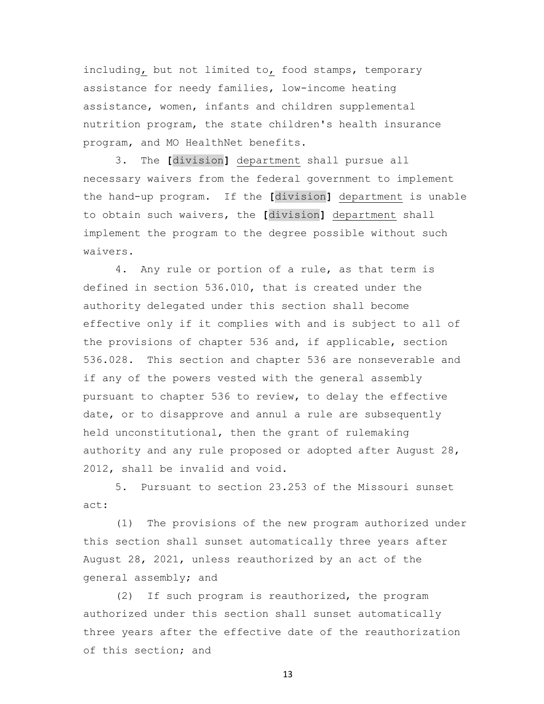including, but not limited to, food stamps, temporary assistance for needy families, low-income heating assistance, women, infants and children supplemental nutrition program, the state children's health insurance program, and MO HealthNet benefits.

 3. The **[**division**]** department shall pursue all necessary waivers from the federal government to implement the hand-up program. If the **[**division**]** department is unable to obtain such waivers, the **[**division**]** department shall implement the program to the degree possible without such waivers.

 4. Any rule or portion of a rule, as that term is defined in section 536.010, that is created under the authority delegated under this section shall become effective only if it complies with and is subject to all of the provisions of chapter 536 and, if applicable, section 536.028. This section and chapter 536 are nonseverable and if any of the powers vested with the general assembly pursuant to chapter 536 to review, to delay the effective date, or to disapprove and annul a rule are subsequently held unconstitutional, then the grant of rulemaking authority and any rule proposed or adopted after August 28, 2012, shall be invalid and void.

 5. Pursuant to section 23.253 of the Missouri sunset act:

 (1) The provisions of the new program authorized under this section shall sunset automatically three years after August 28, 2021, unless reauthorized by an act of the general assembly; and

 (2) If such program is reauthorized, the program authorized under this section shall sunset automatically three years after the effective date of the reauthorization of this section; and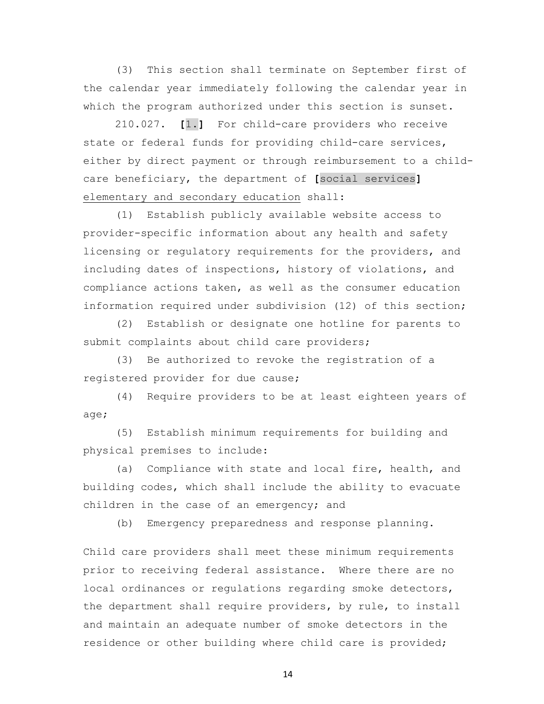(3) This section shall terminate on September first of the calendar year immediately following the calendar year in which the program authorized under this section is sunset.

 210.027. **[**1.**]** For child-care providers who receive state or federal funds for providing child-care services, either by direct payment or through reimbursement to a childcare beneficiary, the department of **[**social services**]** elementary and secondary education shall:

 (1) Establish publicly available website access to provider-specific information about any health and safety licensing or regulatory requirements for the providers, and including dates of inspections, history of violations, and compliance actions taken, as well as the consumer education information required under subdivision (12) of this section;

 (2) Establish or designate one hotline for parents to submit complaints about child care providers;

 (3) Be authorized to revoke the registration of a registered provider for due cause;

 (4) Require providers to be at least eighteen years of age;

 (5) Establish minimum requirements for building and physical premises to include:

 (a) Compliance with state and local fire, health, and building codes, which shall include the ability to evacuate children in the case of an emergency; and

(b) Emergency preparedness and response planning.

Child care providers shall meet these minimum requirements prior to receiving federal assistance. Where there are no local ordinances or regulations regarding smoke detectors, the department shall require providers, by rule, to install and maintain an adequate number of smoke detectors in the residence or other building where child care is provided;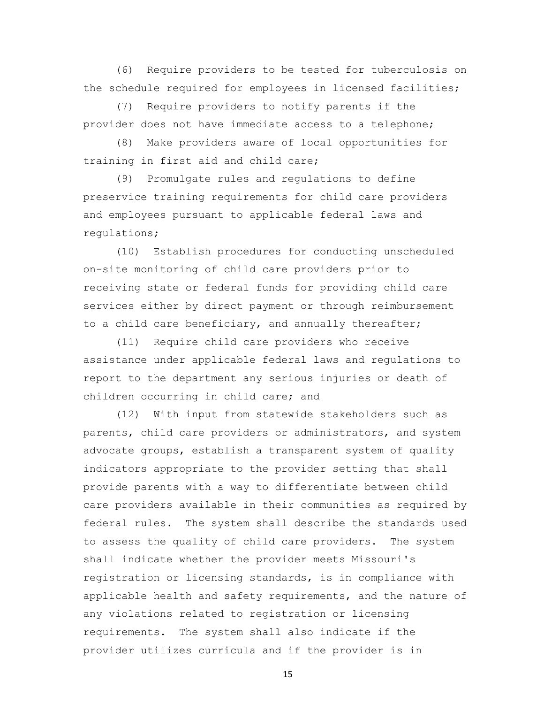(6) Require providers to be tested for tuberculosis on the schedule required for employees in licensed facilities;

 (7) Require providers to notify parents if the provider does not have immediate access to a telephone;

 (8) Make providers aware of local opportunities for training in first aid and child care;

 (9) Promulgate rules and regulations to define preservice training requirements for child care providers and employees pursuant to applicable federal laws and regulations;

 (10) Establish procedures for conducting unscheduled on-site monitoring of child care providers prior to receiving state or federal funds for providing child care services either by direct payment or through reimbursement to a child care beneficiary, and annually thereafter;

 (11) Require child care providers who receive assistance under applicable federal laws and regulations to report to the department any serious injuries or death of children occurring in child care; and

 (12) With input from statewide stakeholders such as parents, child care providers or administrators, and system advocate groups, establish a transparent system of quality indicators appropriate to the provider setting that shall provide parents with a way to differentiate between child care providers available in their communities as required by federal rules. The system shall describe the standards used to assess the quality of child care providers. The system shall indicate whether the provider meets Missouri's registration or licensing standards, is in compliance with applicable health and safety requirements, and the nature of any violations related to registration or licensing requirements. The system shall also indicate if the provider utilizes curricula and if the provider is in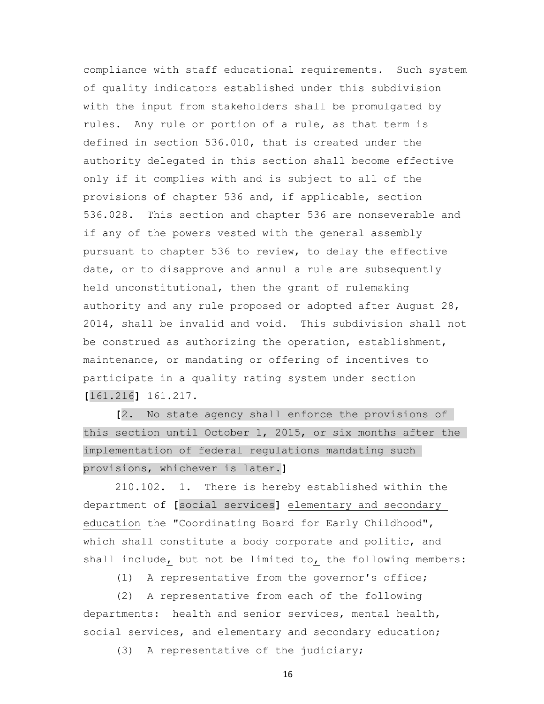compliance with staff educational requirements. Such system of quality indicators established under this subdivision with the input from stakeholders shall be promulgated by rules. Any rule or portion of a rule, as that term is defined in section 536.010, that is created under the authority delegated in this section shall become effective only if it complies with and is subject to all of the provisions of chapter 536 and, if applicable, section 536.028. This section and chapter 536 are nonseverable and if any of the powers vested with the general assembly pursuant to chapter 536 to review, to delay the effective date, or to disapprove and annul a rule are subsequently held unconstitutional, then the grant of rulemaking authority and any rule proposed or adopted after August 28, 2014, shall be invalid and void. This subdivision shall not be construed as authorizing the operation, establishment, maintenance, or mandating or offering of incentives to participate in a quality rating system under section **[**161.216**]** 161.217.

 **[**2. No state agency shall enforce the provisions of this section until October 1, 2015, or six months after the implementation of federal regulations mandating such provisions, whichever is later.**]**

 210.102. 1. There is hereby established within the department of **[**social services**]** elementary and secondary education the "Coordinating Board for Early Childhood", which shall constitute a body corporate and politic, and shall include, but not be limited to, the following members:

(1) A representative from the governor's office;

 (2) A representative from each of the following departments: health and senior services, mental health, social services, and elementary and secondary education;

(3) A representative of the judiciary;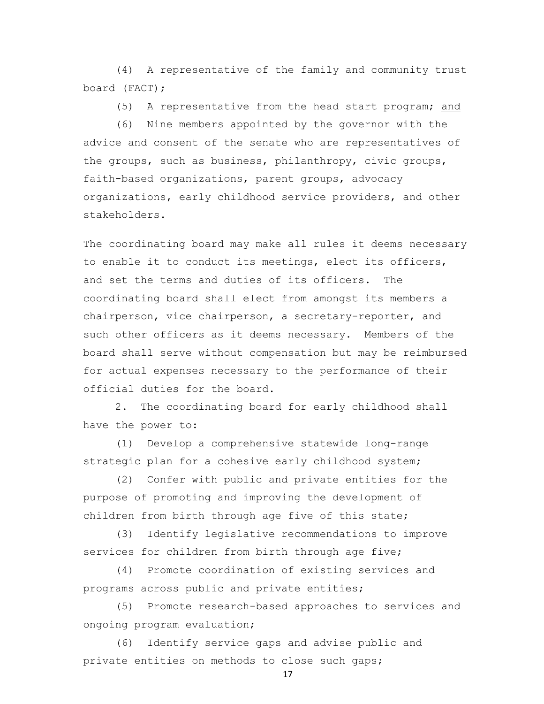(4) A representative of the family and community trust board (FACT);

(5) A representative from the head start program; and

 (6) Nine members appointed by the governor with the advice and consent of the senate who are representatives of the groups, such as business, philanthropy, civic groups, faith-based organizations, parent groups, advocacy organizations, early childhood service providers, and other stakeholders.

The coordinating board may make all rules it deems necessary to enable it to conduct its meetings, elect its officers, and set the terms and duties of its officers. The coordinating board shall elect from amongst its members a chairperson, vice chairperson, a secretary-reporter, and such other officers as it deems necessary. Members of the board shall serve without compensation but may be reimbursed for actual expenses necessary to the performance of their official duties for the board.

 2. The coordinating board for early childhood shall have the power to:

 (1) Develop a comprehensive statewide long-range strategic plan for a cohesive early childhood system;

 (2) Confer with public and private entities for the purpose of promoting and improving the development of children from birth through age five of this state;

 (3) Identify legislative recommendations to improve services for children from birth through age five;

 (4) Promote coordination of existing services and programs across public and private entities;

 (5) Promote research-based approaches to services and ongoing program evaluation;

 (6) Identify service gaps and advise public and private entities on methods to close such gaps;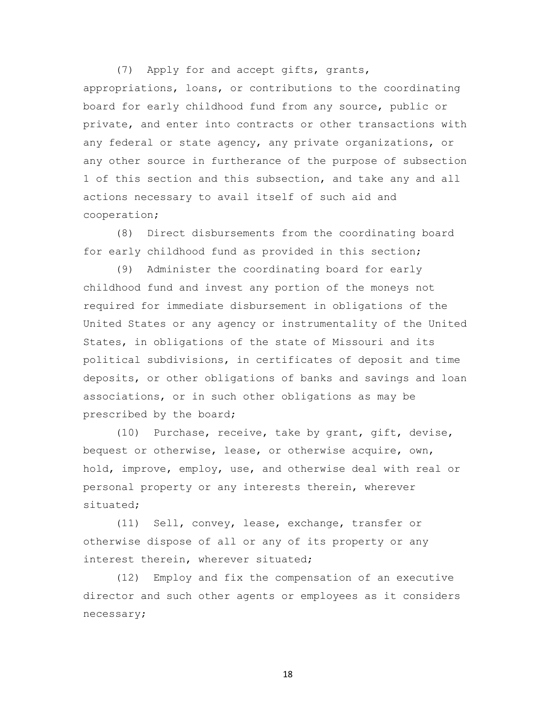(7) Apply for and accept gifts, grants, appropriations, loans, or contributions to the coordinating board for early childhood fund from any source, public or private, and enter into contracts or other transactions with any federal or state agency, any private organizations, or any other source in furtherance of the purpose of subsection 1 of this section and this subsection, and take any and all actions necessary to avail itself of such aid and cooperation;

 (8) Direct disbursements from the coordinating board for early childhood fund as provided in this section;

 (9) Administer the coordinating board for early childhood fund and invest any portion of the moneys not required for immediate disbursement in obligations of the United States or any agency or instrumentality of the United States, in obligations of the state of Missouri and its political subdivisions, in certificates of deposit and time deposits, or other obligations of banks and savings and loan associations, or in such other obligations as may be prescribed by the board;

 (10) Purchase, receive, take by grant, gift, devise, bequest or otherwise, lease, or otherwise acquire, own, hold, improve, employ, use, and otherwise deal with real or personal property or any interests therein, wherever situated;

 (11) Sell, convey, lease, exchange, transfer or otherwise dispose of all or any of its property or any interest therein, wherever situated;

 (12) Employ and fix the compensation of an executive director and such other agents or employees as it considers necessary;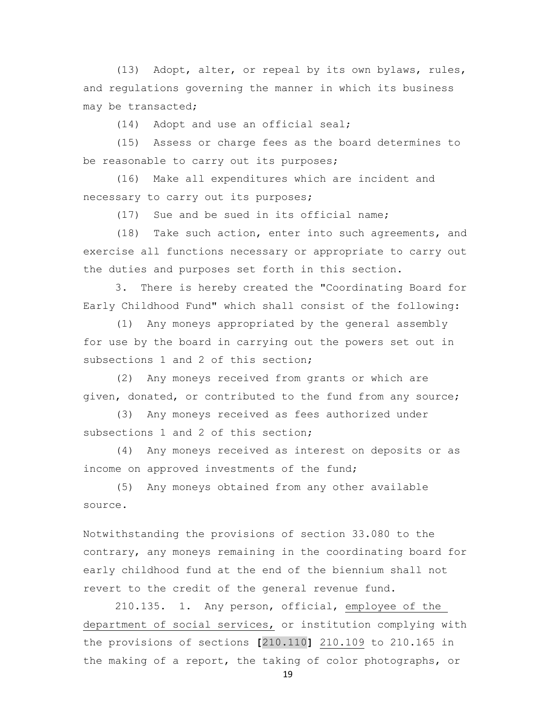(13) Adopt, alter, or repeal by its own bylaws, rules, and regulations governing the manner in which its business may be transacted;

(14) Adopt and use an official seal;

 (15) Assess or charge fees as the board determines to be reasonable to carry out its purposes;

 (16) Make all expenditures which are incident and necessary to carry out its purposes;

(17) Sue and be sued in its official name;

 (18) Take such action, enter into such agreements, and exercise all functions necessary or appropriate to carry out the duties and purposes set forth in this section.

 3. There is hereby created the "Coordinating Board for Early Childhood Fund" which shall consist of the following:

 (1) Any moneys appropriated by the general assembly for use by the board in carrying out the powers set out in subsections 1 and 2 of this section;

 (2) Any moneys received from grants or which are given, donated, or contributed to the fund from any source;

 (3) Any moneys received as fees authorized under subsections 1 and 2 of this section;

 (4) Any moneys received as interest on deposits or as income on approved investments of the fund;

 (5) Any moneys obtained from any other available source.

Notwithstanding the provisions of section 33.080 to the contrary, any moneys remaining in the coordinating board for early childhood fund at the end of the biennium shall not revert to the credit of the general revenue fund.

 210.135. 1. Any person, official, employee of the department of social services, or institution complying with the provisions of sections **[**210.110**]** 210.109 to 210.165 in the making of a report, the taking of color photographs, or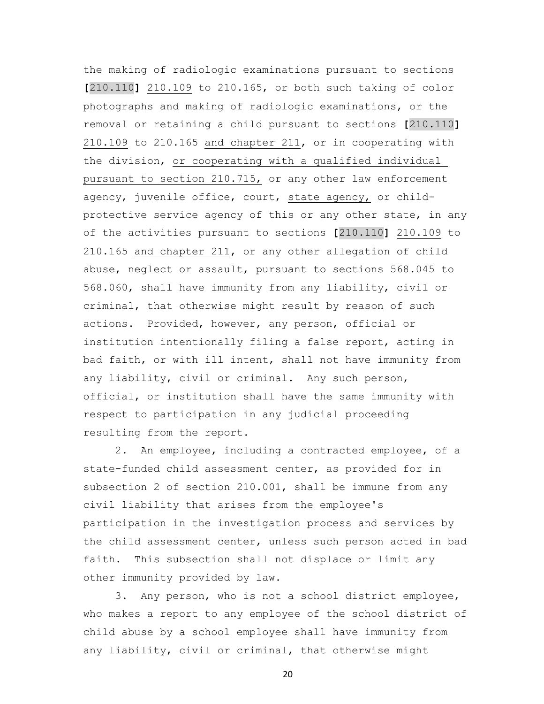the making of radiologic examinations pursuant to sections **[**210.110**]** 210.109 to 210.165, or both such taking of color photographs and making of radiologic examinations, or the removal or retaining a child pursuant to sections **[**210.110**]** 210.109 to 210.165 and chapter 211, or in cooperating with the division, or cooperating with a qualified individual pursuant to section 210.715, or any other law enforcement agency, juvenile office, court, state agency, or childprotective service agency of this or any other state, in any of the activities pursuant to sections **[**210.110**]** 210.109 to 210.165 and chapter 211, or any other allegation of child abuse, neglect or assault, pursuant to sections 568.045 to 568.060, shall have immunity from any liability, civil or criminal, that otherwise might result by reason of such actions. Provided, however, any person, official or institution intentionally filing a false report, acting in bad faith, or with ill intent, shall not have immunity from any liability, civil or criminal. Any such person, official, or institution shall have the same immunity with respect to participation in any judicial proceeding resulting from the report.

 2. An employee, including a contracted employee, of a state-funded child assessment center, as provided for in subsection 2 of section 210.001, shall be immune from any civil liability that arises from the employee's participation in the investigation process and services by the child assessment center, unless such person acted in bad faith. This subsection shall not displace or limit any other immunity provided by law.

 3. Any person, who is not a school district employee, who makes a report to any employee of the school district of child abuse by a school employee shall have immunity from any liability, civil or criminal, that otherwise might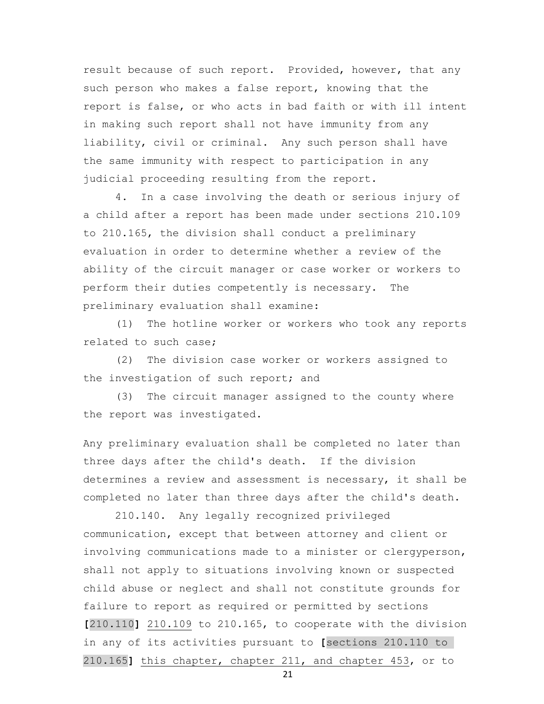result because of such report. Provided, however, that any such person who makes a false report, knowing that the report is false, or who acts in bad faith or with ill intent in making such report shall not have immunity from any liability, civil or criminal. Any such person shall have the same immunity with respect to participation in any judicial proceeding resulting from the report.

 4. In a case involving the death or serious injury of a child after a report has been made under sections 210.109 to 210.165, the division shall conduct a preliminary evaluation in order to determine whether a review of the ability of the circuit manager or case worker or workers to perform their duties competently is necessary. The preliminary evaluation shall examine:

 (1) The hotline worker or workers who took any reports related to such case;

 (2) The division case worker or workers assigned to the investigation of such report; and

 (3) The circuit manager assigned to the county where the report was investigated.

Any preliminary evaluation shall be completed no later than three days after the child's death. If the division determines a review and assessment is necessary, it shall be completed no later than three days after the child's death.

 210.140. Any legally recognized privileged communication, except that between attorney and client or involving communications made to a minister or clergyperson, shall not apply to situations involving known or suspected child abuse or neglect and shall not constitute grounds for failure to report as required or permitted by sections **[**210.110**]** 210.109 to 210.165, to cooperate with the division in any of its activities pursuant to **[**sections 210.110 to 210.165**]** this chapter, chapter 211, and chapter 453, or to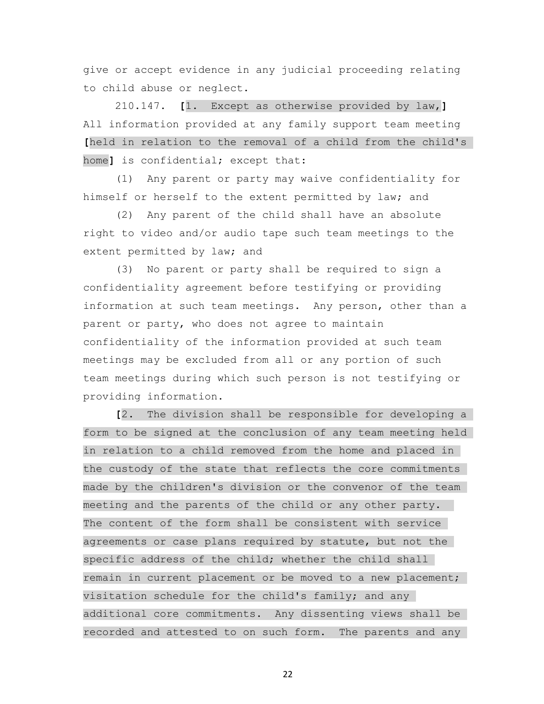give or accept evidence in any judicial proceeding relating to child abuse or neglect.

 210.147. **[**1. Except as otherwise provided by law,**]** All information provided at any family support team meeting **[**held in relation to the removal of a child from the child's home**]** is confidential; except that:

 (1) Any parent or party may waive confidentiality for himself or herself to the extent permitted by law; and

 (2) Any parent of the child shall have an absolute right to video and/or audio tape such team meetings to the extent permitted by law; and

 (3) No parent or party shall be required to sign a confidentiality agreement before testifying or providing information at such team meetings. Any person, other than a parent or party, who does not agree to maintain confidentiality of the information provided at such team meetings may be excluded from all or any portion of such team meetings during which such person is not testifying or providing information.

 **[**2. The division shall be responsible for developing a form to be signed at the conclusion of any team meeting held in relation to a child removed from the home and placed in the custody of the state that reflects the core commitments made by the children's division or the convenor of the team meeting and the parents of the child or any other party. The content of the form shall be consistent with service agreements or case plans required by statute, but not the specific address of the child; whether the child shall remain in current placement or be moved to a new placement; visitation schedule for the child's family; and any additional core commitments. Any dissenting views shall be recorded and attested to on such form. The parents and any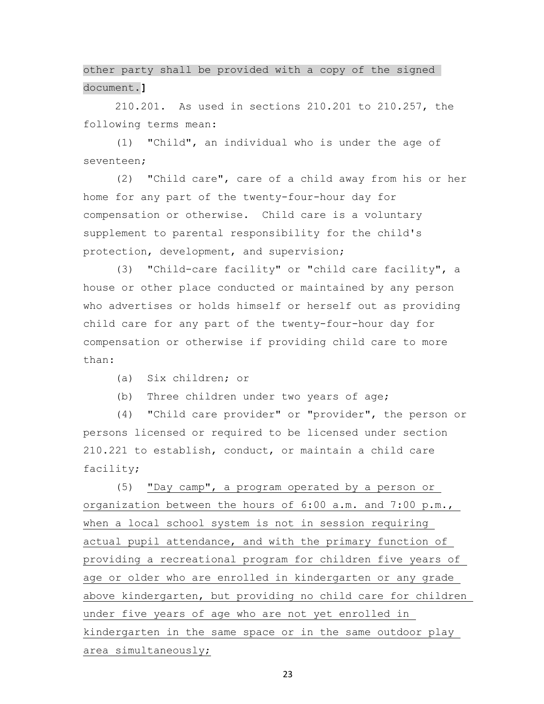other party shall be provided with a copy of the signed document.**]**

 210.201. As used in sections 210.201 to 210.257, the following terms mean:

 (1) "Child", an individual who is under the age of seventeen;

 (2) "Child care", care of a child away from his or her home for any part of the twenty-four-hour day for compensation or otherwise. Child care is a voluntary supplement to parental responsibility for the child's protection, development, and supervision;

 (3) "Child-care facility" or "child care facility", a house or other place conducted or maintained by any person who advertises or holds himself or herself out as providing child care for any part of the twenty-four-hour day for compensation or otherwise if providing child care to more than:

(a) Six children; or

(b) Three children under two years of age;

 (4) "Child care provider" or "provider", the person or persons licensed or required to be licensed under section 210.221 to establish, conduct, or maintain a child care facility;

 (5) "Day camp", a program operated by a person or organization between the hours of 6:00 a.m. and 7:00 p.m., when a local school system is not in session requiring actual pupil attendance, and with the primary function of providing a recreational program for children five years of age or older who are enrolled in kindergarten or any grade above kindergarten, but providing no child care for children under five years of age who are not yet enrolled in kindergarten in the same space or in the same outdoor play area simultaneously;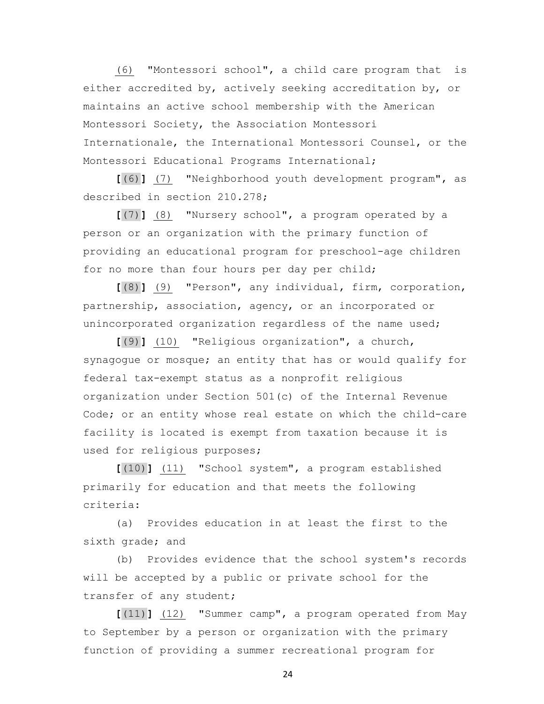(6) "Montessori school", a child care program that is either accredited by, actively seeking accreditation by, or maintains an active school membership with the American Montessori Society, the Association Montessori Internationale, the International Montessori Counsel, or the Montessori Educational Programs International;

 **[**(6)**]** (7) "Neighborhood youth development program", as described in section 210.278;

 **[**(7)**]** (8) "Nursery school", a program operated by a person or an organization with the primary function of providing an educational program for preschool-age children for no more than four hours per day per child;

 **[**(8)**]** (9) "Person", any individual, firm, corporation, partnership, association, agency, or an incorporated or unincorporated organization regardless of the name used;

 **[**(9)**]** (10) "Religious organization", a church, synagogue or mosque; an entity that has or would qualify for federal tax-exempt status as a nonprofit religious organization under Section 501(c) of the Internal Revenue Code; or an entity whose real estate on which the child-care facility is located is exempt from taxation because it is used for religious purposes;

 **[**(10)**]** (11) "School system", a program established primarily for education and that meets the following criteria:

 (a) Provides education in at least the first to the sixth grade; and

 (b) Provides evidence that the school system's records will be accepted by a public or private school for the transfer of any student;

 **[**(11)**]** (12) "Summer camp", a program operated from May to September by a person or organization with the primary function of providing a summer recreational program for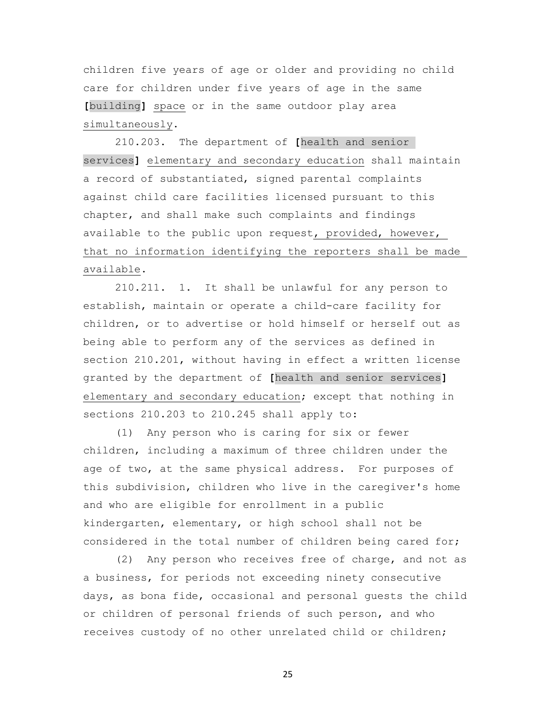children five years of age or older and providing no child care for children under five years of age in the same **[**building**]** space or in the same outdoor play area simultaneously.

 210.203. The department of **[**health and senior services**]** elementary and secondary education shall maintain a record of substantiated, signed parental complaints against child care facilities licensed pursuant to this chapter, and shall make such complaints and findings available to the public upon request, provided, however, that no information identifying the reporters shall be made available.

 210.211. 1. It shall be unlawful for any person to establish, maintain or operate a child-care facility for children, or to advertise or hold himself or herself out as being able to perform any of the services as defined in section 210.201, without having in effect a written license granted by the department of **[**health and senior services**]** elementary and secondary education; except that nothing in sections 210.203 to 210.245 shall apply to:

 (1) Any person who is caring for six or fewer children, including a maximum of three children under the age of two, at the same physical address. For purposes of this subdivision, children who live in the caregiver's home and who are eligible for enrollment in a public kindergarten, elementary, or high school shall not be considered in the total number of children being cared for;

 (2) Any person who receives free of charge, and not as a business, for periods not exceeding ninety consecutive days, as bona fide, occasional and personal guests the child or children of personal friends of such person, and who receives custody of no other unrelated child or children;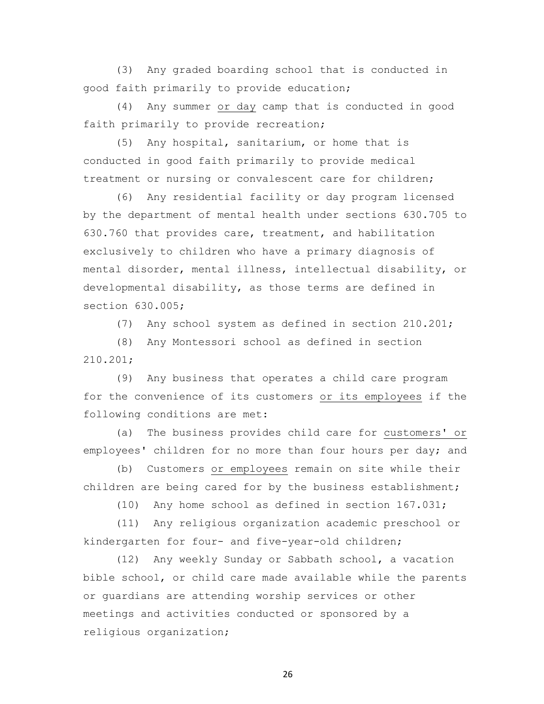(3) Any graded boarding school that is conducted in good faith primarily to provide education;

 (4) Any summer or day camp that is conducted in good faith primarily to provide recreation;

 (5) Any hospital, sanitarium, or home that is conducted in good faith primarily to provide medical treatment or nursing or convalescent care for children;

 (6) Any residential facility or day program licensed by the department of mental health under sections 630.705 to 630.760 that provides care, treatment, and habilitation exclusively to children who have a primary diagnosis of mental disorder, mental illness, intellectual disability, or developmental disability, as those terms are defined in section 630.005;

(7) Any school system as defined in section 210.201;

 (8) Any Montessori school as defined in section 210.201;

 (9) Any business that operates a child care program for the convenience of its customers or its employees if the following conditions are met:

 (a) The business provides child care for customers' or employees' children for no more than four hours per day; and

 (b) Customers or employees remain on site while their children are being cared for by the business establishment;

(10) Any home school as defined in section 167.031;

 (11) Any religious organization academic preschool or kindergarten for four- and five-year-old children;

 (12) Any weekly Sunday or Sabbath school, a vacation bible school, or child care made available while the parents or guardians are attending worship services or other meetings and activities conducted or sponsored by a religious organization;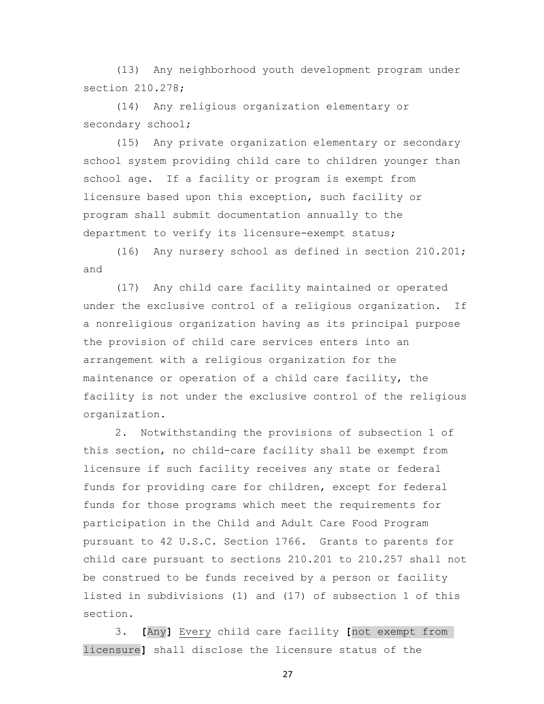(13) Any neighborhood youth development program under section 210.278;

 (14) Any religious organization elementary or secondary school;

 (15) Any private organization elementary or secondary school system providing child care to children younger than school age. If a facility or program is exempt from licensure based upon this exception, such facility or program shall submit documentation annually to the department to verify its licensure-exempt status;

 (16) Any nursery school as defined in section 210.201; and

 (17) Any child care facility maintained or operated under the exclusive control of a religious organization. If a nonreligious organization having as its principal purpose the provision of child care services enters into an arrangement with a religious organization for the maintenance or operation of a child care facility, the facility is not under the exclusive control of the religious organization.

 2. Notwithstanding the provisions of subsection 1 of this section, no child-care facility shall be exempt from licensure if such facility receives any state or federal funds for providing care for children, except for federal funds for those programs which meet the requirements for participation in the Child and Adult Care Food Program pursuant to 42 U.S.C. Section 1766. Grants to parents for child care pursuant to sections 210.201 to 210.257 shall not be construed to be funds received by a person or facility listed in subdivisions (1) and (17) of subsection 1 of this section.

 3. **[**Any**]** Every child care facility **[**not exempt from licensure**]** shall disclose the licensure status of the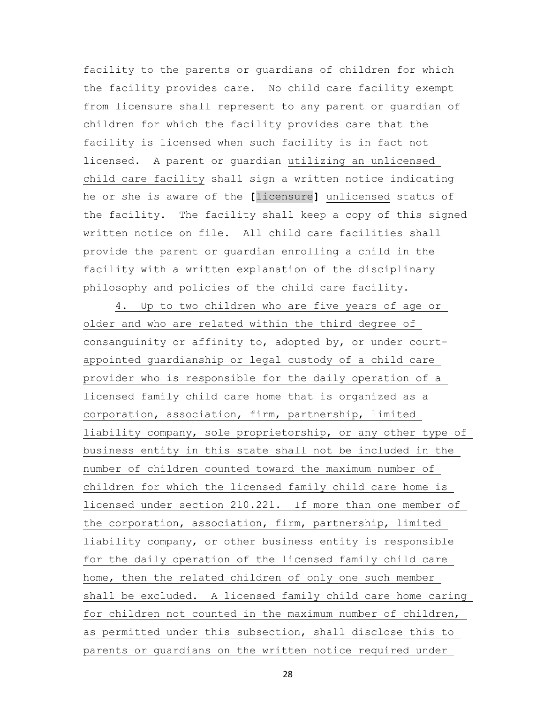facility to the parents or guardians of children for which the facility provides care. No child care facility exempt from licensure shall represent to any parent or guardian of children for which the facility provides care that the facility is licensed when such facility is in fact not licensed. A parent or guardian utilizing an unlicensed child care facility shall sign a written notice indicating he or she is aware of the **[**licensure**]** unlicensed status of the facility. The facility shall keep a copy of this signed written notice on file. All child care facilities shall provide the parent or guardian enrolling a child in the facility with a written explanation of the disciplinary philosophy and policies of the child care facility.

 4. Up to two children who are five years of age or older and who are related within the third degree of consanguinity or affinity to, adopted by, or under courtappointed guardianship or legal custody of a child care provider who is responsible for the daily operation of a licensed family child care home that is organized as a corporation, association, firm, partnership, limited liability company, sole proprietorship, or any other type of business entity in this state shall not be included in the number of children counted toward the maximum number of children for which the licensed family child care home is licensed under section 210.221. If more than one member of the corporation, association, firm, partnership, limited liability company, or other business entity is responsible for the daily operation of the licensed family child care home, then the related children of only one such member shall be excluded. A licensed family child care home caring for children not counted in the maximum number of children, as permitted under this subsection, shall disclose this to parents or guardians on the written notice required under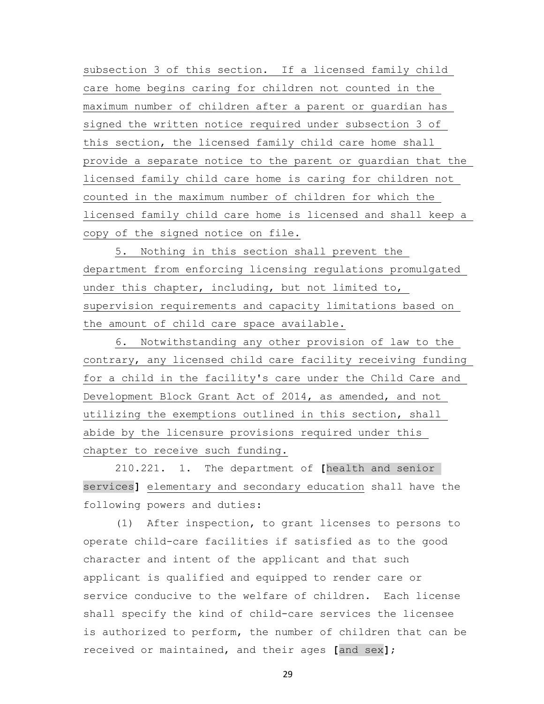subsection 3 of this section. If a licensed family child care home begins caring for children not counted in the maximum number of children after a parent or guardian has signed the written notice required under subsection 3 of this section, the licensed family child care home shall provide a separate notice to the parent or guardian that the licensed family child care home is caring for children not counted in the maximum number of children for which the licensed family child care home is licensed and shall keep a copy of the signed notice on file.

 5. Nothing in this section shall prevent the department from enforcing licensing regulations promulgated under this chapter, including, but not limited to, supervision requirements and capacity limitations based on the amount of child care space available.

 6. Notwithstanding any other provision of law to the contrary, any licensed child care facility receiving funding for a child in the facility's care under the Child Care and Development Block Grant Act of 2014, as amended, and not utilizing the exemptions outlined in this section, shall abide by the licensure provisions required under this chapter to receive such funding.

 210.221. 1. The department of **[**health and senior services**]** elementary and secondary education shall have the following powers and duties:

 (1) After inspection, to grant licenses to persons to operate child-care facilities if satisfied as to the good character and intent of the applicant and that such applicant is qualified and equipped to render care or service conducive to the welfare of children. Each license shall specify the kind of child-care services the licensee is authorized to perform, the number of children that can be received or maintained, and their ages **[**and sex**]**;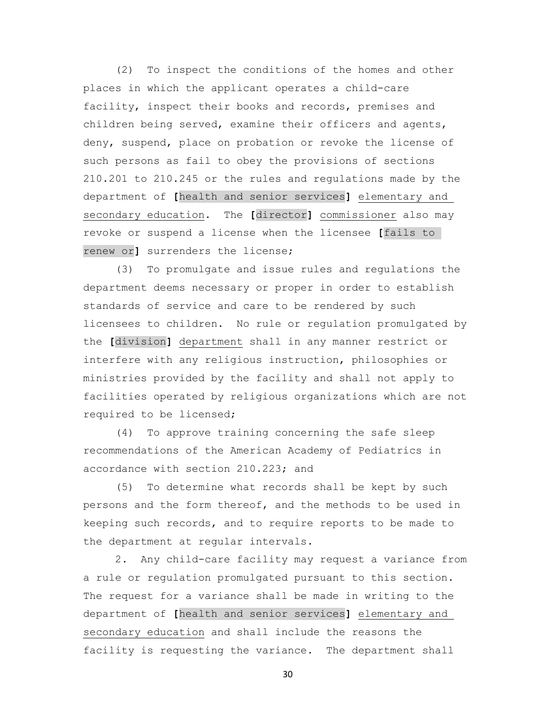(2) To inspect the conditions of the homes and other places in which the applicant operates a child-care facility, inspect their books and records, premises and children being served, examine their officers and agents, deny, suspend, place on probation or revoke the license of such persons as fail to obey the provisions of sections 210.201 to 210.245 or the rules and regulations made by the department of **[**health and senior services**]** elementary and secondary education. The **[**director**]** commissioner also may revoke or suspend a license when the licensee **[**fails to renew or**]** surrenders the license;

 (3) To promulgate and issue rules and regulations the department deems necessary or proper in order to establish standards of service and care to be rendered by such licensees to children. No rule or regulation promulgated by the **[**division**]** department shall in any manner restrict or interfere with any religious instruction, philosophies or ministries provided by the facility and shall not apply to facilities operated by religious organizations which are not required to be licensed;

 (4) To approve training concerning the safe sleep recommendations of the American Academy of Pediatrics in accordance with section 210.223; and

 (5) To determine what records shall be kept by such persons and the form thereof, and the methods to be used in keeping such records, and to require reports to be made to the department at regular intervals.

 2. Any child-care facility may request a variance from a rule or regulation promulgated pursuant to this section. The request for a variance shall be made in writing to the department of **[**health and senior services**]** elementary and secondary education and shall include the reasons the facility is requesting the variance. The department shall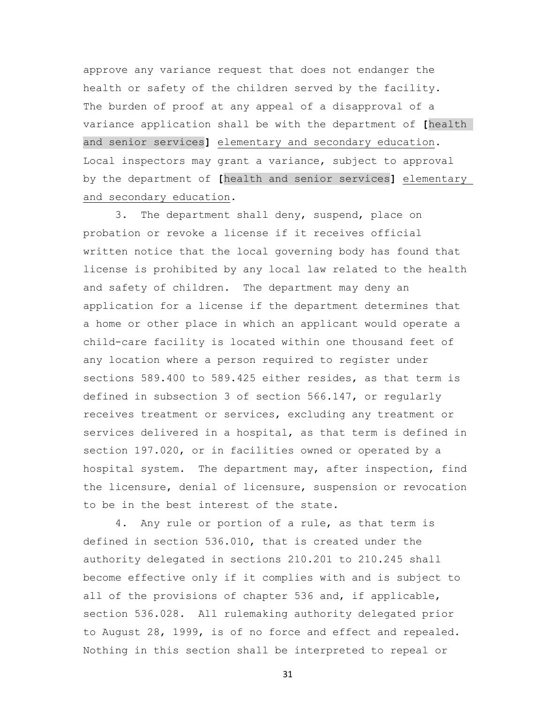approve any variance request that does not endanger the health or safety of the children served by the facility. The burden of proof at any appeal of a disapproval of a variance application shall be with the department of **[**health and senior services**]** elementary and secondary education. Local inspectors may grant a variance, subject to approval by the department of **[**health and senior services**]** elementary and secondary education.

 3. The department shall deny, suspend, place on probation or revoke a license if it receives official written notice that the local governing body has found that license is prohibited by any local law related to the health and safety of children. The department may deny an application for a license if the department determines that a home or other place in which an applicant would operate a child-care facility is located within one thousand feet of any location where a person required to register under sections 589.400 to 589.425 either resides, as that term is defined in subsection 3 of section 566.147, or regularly receives treatment or services, excluding any treatment or services delivered in a hospital, as that term is defined in section 197.020, or in facilities owned or operated by a hospital system. The department may, after inspection, find the licensure, denial of licensure, suspension or revocation to be in the best interest of the state.

 4. Any rule or portion of a rule, as that term is defined in section 536.010, that is created under the authority delegated in sections 210.201 to 210.245 shall become effective only if it complies with and is subject to all of the provisions of chapter 536 and, if applicable, section 536.028. All rulemaking authority delegated prior to August 28, 1999, is of no force and effect and repealed. Nothing in this section shall be interpreted to repeal or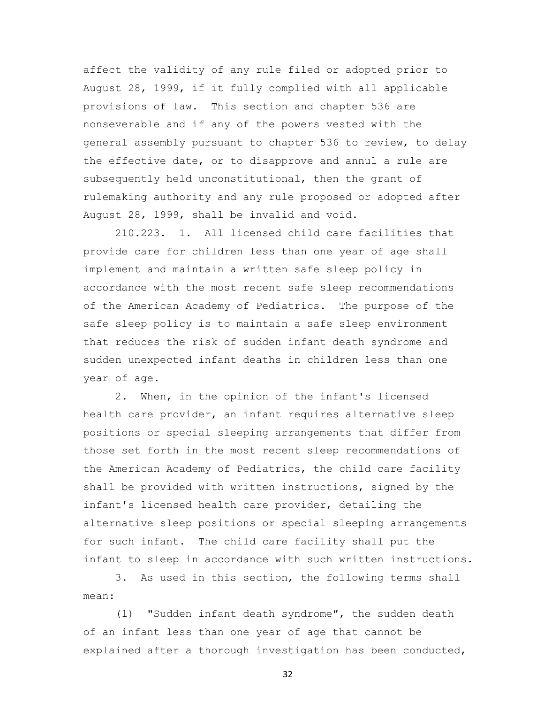affect the validity of any rule filed or adopted prior to August 28, 1999, if it fully complied with all applicable provisions of law. This section and chapter 536 are nonseverable and if any of the powers vested with the general assembly pursuant to chapter 536 to review, to delay the effective date, or to disapprove and annul a rule are subsequently held unconstitutional, then the grant of rulemaking authority and any rule proposed or adopted after August 28, 1999, shall be invalid and void.

 210.223. 1. All licensed child care facilities that provide care for children less than one year of age shall implement and maintain a written safe sleep policy in accordance with the most recent safe sleep recommendations of the American Academy of Pediatrics. The purpose of the safe sleep policy is to maintain a safe sleep environment that reduces the risk of sudden infant death syndrome and sudden unexpected infant deaths in children less than one year of age.

 2. When, in the opinion of the infant's licensed health care provider, an infant requires alternative sleep positions or special sleeping arrangements that differ from those set forth in the most recent sleep recommendations of the American Academy of Pediatrics, the child care facility shall be provided with written instructions, signed by the infant's licensed health care provider, detailing the alternative sleep positions or special sleeping arrangements for such infant. The child care facility shall put the infant to sleep in accordance with such written instructions.

 3. As used in this section, the following terms shall mean:

 (1) "Sudden infant death syndrome", the sudden death of an infant less than one year of age that cannot be explained after a thorough investigation has been conducted,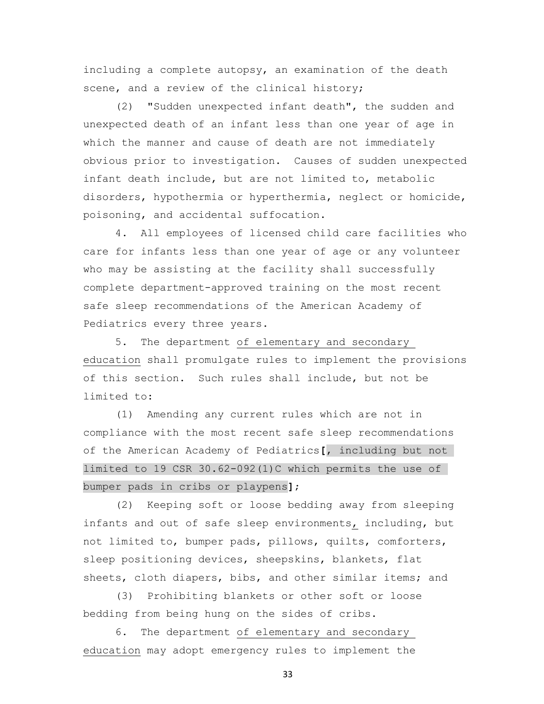including a complete autopsy, an examination of the death scene, and a review of the clinical history;

 (2) "Sudden unexpected infant death", the sudden and unexpected death of an infant less than one year of age in which the manner and cause of death are not immediately obvious prior to investigation. Causes of sudden unexpected infant death include, but are not limited to, metabolic disorders, hypothermia or hyperthermia, neglect or homicide, poisoning, and accidental suffocation.

 4. All employees of licensed child care facilities who care for infants less than one year of age or any volunteer who may be assisting at the facility shall successfully complete department-approved training on the most recent safe sleep recommendations of the American Academy of Pediatrics every three years.

 5. The department of elementary and secondary education shall promulgate rules to implement the provisions of this section. Such rules shall include, but not be limited to:

 (1) Amending any current rules which are not in compliance with the most recent safe sleep recommendations of the American Academy of Pediatrics**[**, including but not limited to 19 CSR 30.62-092(1)C which permits the use of bumper pads in cribs or playpens**]**;

 (2) Keeping soft or loose bedding away from sleeping infants and out of safe sleep environments, including, but not limited to, bumper pads, pillows, quilts, comforters, sleep positioning devices, sheepskins, blankets, flat sheets, cloth diapers, bibs, and other similar items; and

 (3) Prohibiting blankets or other soft or loose bedding from being hung on the sides of cribs.

 6. The department of elementary and secondary education may adopt emergency rules to implement the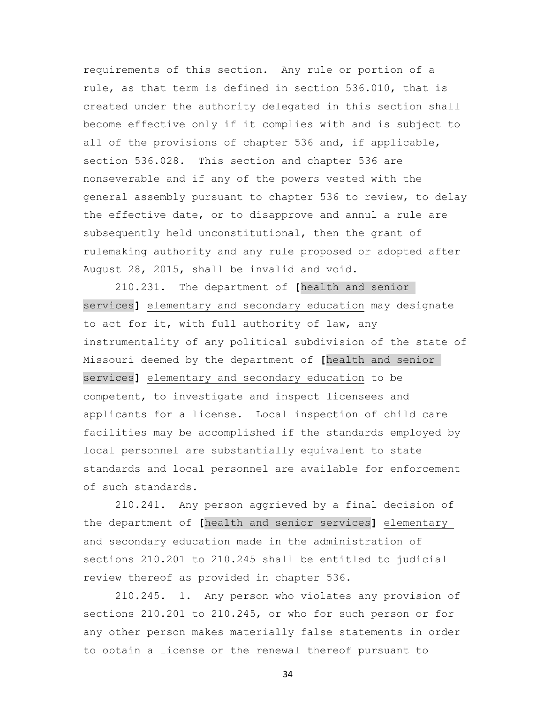requirements of this section. Any rule or portion of a rule, as that term is defined in section 536.010, that is created under the authority delegated in this section shall become effective only if it complies with and is subject to all of the provisions of chapter 536 and, if applicable, section 536.028. This section and chapter 536 are nonseverable and if any of the powers vested with the general assembly pursuant to chapter 536 to review, to delay the effective date, or to disapprove and annul a rule are subsequently held unconstitutional, then the grant of rulemaking authority and any rule proposed or adopted after August 28, 2015, shall be invalid and void.

 210.231. The department of **[**health and senior services**]** elementary and secondary education may designate to act for it, with full authority of law, any instrumentality of any political subdivision of the state of Missouri deemed by the department of **[**health and senior services**]** elementary and secondary education to be competent, to investigate and inspect licensees and applicants for a license. Local inspection of child care facilities may be accomplished if the standards employed by local personnel are substantially equivalent to state standards and local personnel are available for enforcement of such standards.

 210.241. Any person aggrieved by a final decision of the department of **[**health and senior services**]** elementary and secondary education made in the administration of sections 210.201 to 210.245 shall be entitled to judicial review thereof as provided in chapter 536.

 210.245. 1. Any person who violates any provision of sections 210.201 to 210.245, or who for such person or for any other person makes materially false statements in order to obtain a license or the renewal thereof pursuant to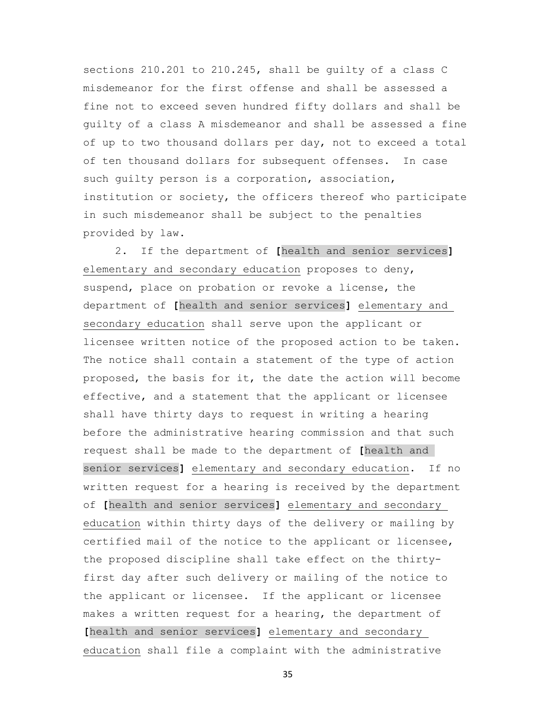sections 210.201 to 210.245, shall be guilty of a class C misdemeanor for the first offense and shall be assessed a fine not to exceed seven hundred fifty dollars and shall be guilty of a class A misdemeanor and shall be assessed a fine of up to two thousand dollars per day, not to exceed a total of ten thousand dollars for subsequent offenses. In case such guilty person is a corporation, association, institution or society, the officers thereof who participate in such misdemeanor shall be subject to the penalties provided by law.

 2. If the department of **[**health and senior services**]** elementary and secondary education proposes to deny, suspend, place on probation or revoke a license, the department of **[**health and senior services**]** elementary and secondary education shall serve upon the applicant or licensee written notice of the proposed action to be taken. The notice shall contain a statement of the type of action proposed, the basis for it, the date the action will become effective, and a statement that the applicant or licensee shall have thirty days to request in writing a hearing before the administrative hearing commission and that such request shall be made to the department of **[**health and senior services**]** elementary and secondary education. If no written request for a hearing is received by the department of **[**health and senior services**]** elementary and secondary education within thirty days of the delivery or mailing by certified mail of the notice to the applicant or licensee, the proposed discipline shall take effect on the thirtyfirst day after such delivery or mailing of the notice to the applicant or licensee. If the applicant or licensee makes a written request for a hearing, the department of **[**health and senior services**]** elementary and secondary education shall file a complaint with the administrative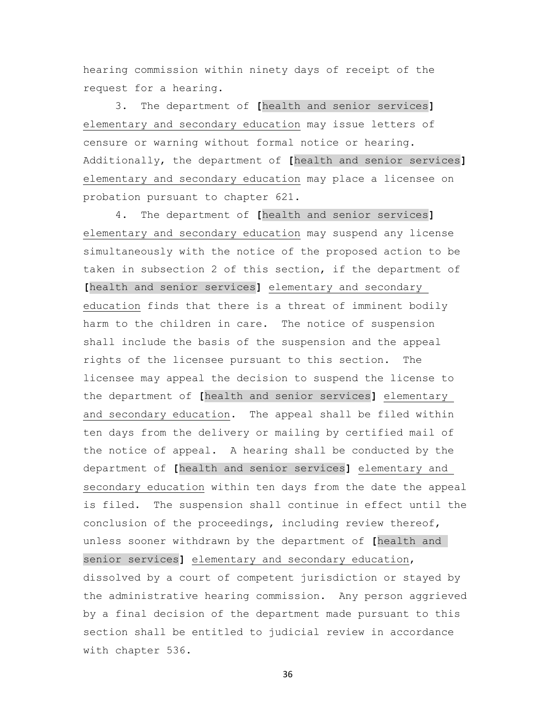hearing commission within ninety days of receipt of the request for a hearing.

 3. The department of **[**health and senior services**]** elementary and secondary education may issue letters of censure or warning without formal notice or hearing. Additionally, the department of **[**health and senior services**]** elementary and secondary education may place a licensee on probation pursuant to chapter 621.

 4. The department of **[**health and senior services**]** elementary and secondary education may suspend any license simultaneously with the notice of the proposed action to be taken in subsection 2 of this section, if the department of **[**health and senior services**]** elementary and secondary education finds that there is a threat of imminent bodily harm to the children in care. The notice of suspension shall include the basis of the suspension and the appeal rights of the licensee pursuant to this section. The licensee may appeal the decision to suspend the license to the department of **[**health and senior services**]** elementary and secondary education. The appeal shall be filed within ten days from the delivery or mailing by certified mail of the notice of appeal. A hearing shall be conducted by the department of **[**health and senior services**]** elementary and secondary education within ten days from the date the appeal is filed. The suspension shall continue in effect until the conclusion of the proceedings, including review thereof, unless sooner withdrawn by the department of **[**health and senior services**]** elementary and secondary education, dissolved by a court of competent jurisdiction or stayed by the administrative hearing commission. Any person aggrieved by a final decision of the department made pursuant to this section shall be entitled to judicial review in accordance with chapter 536.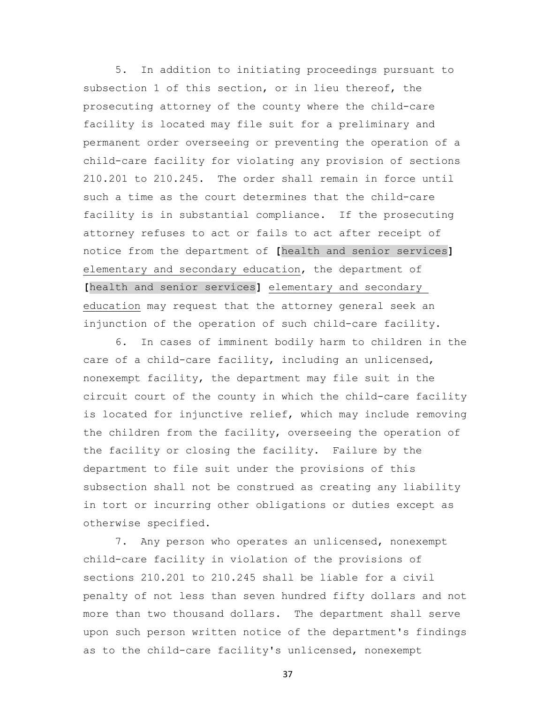5. In addition to initiating proceedings pursuant to subsection 1 of this section, or in lieu thereof, the prosecuting attorney of the county where the child-care facility is located may file suit for a preliminary and permanent order overseeing or preventing the operation of a child-care facility for violating any provision of sections 210.201 to 210.245. The order shall remain in force until such a time as the court determines that the child-care facility is in substantial compliance. If the prosecuting attorney refuses to act or fails to act after receipt of notice from the department of **[**health and senior services**]** elementary and secondary education, the department of **[**health and senior services**]** elementary and secondary education may request that the attorney general seek an injunction of the operation of such child-care facility.

 6. In cases of imminent bodily harm to children in the care of a child-care facility, including an unlicensed, nonexempt facility, the department may file suit in the circuit court of the county in which the child-care facility is located for injunctive relief, which may include removing the children from the facility, overseeing the operation of the facility or closing the facility. Failure by the department to file suit under the provisions of this subsection shall not be construed as creating any liability in tort or incurring other obligations or duties except as otherwise specified.

 7. Any person who operates an unlicensed, nonexempt child-care facility in violation of the provisions of sections 210.201 to 210.245 shall be liable for a civil penalty of not less than seven hundred fifty dollars and not more than two thousand dollars. The department shall serve upon such person written notice of the department's findings as to the child-care facility's unlicensed, nonexempt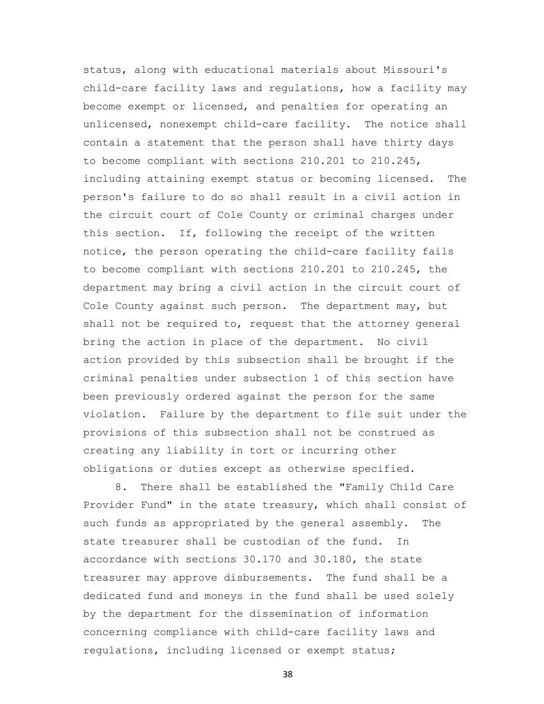status, along with educational materials about Missouri's child-care facility laws and regulations, how a facility may become exempt or licensed, and penalties for operating an unlicensed, nonexempt child-care facility. The notice shall contain a statement that the person shall have thirty days to become compliant with sections 210.201 to 210.245, including attaining exempt status or becoming licensed. The person's failure to do so shall result in a civil action in the circuit court of Cole County or criminal charges under this section. If, following the receipt of the written notice, the person operating the child-care facility fails to become compliant with sections 210.201 to 210.245, the department may bring a civil action in the circuit court of Cole County against such person. The department may, but shall not be required to, request that the attorney general bring the action in place of the department. No civil action provided by this subsection shall be brought if the criminal penalties under subsection 1 of this section have been previously ordered against the person for the same violation. Failure by the department to file suit under the provisions of this subsection shall not be construed as creating any liability in tort or incurring other obligations or duties except as otherwise specified.

 8. There shall be established the "Family Child Care Provider Fund" in the state treasury, which shall consist of such funds as appropriated by the general assembly. The state treasurer shall be custodian of the fund. In accordance with sections 30.170 and 30.180, the state treasurer may approve disbursements. The fund shall be a dedicated fund and moneys in the fund shall be used solely by the department for the dissemination of information concerning compliance with child-care facility laws and regulations, including licensed or exempt status;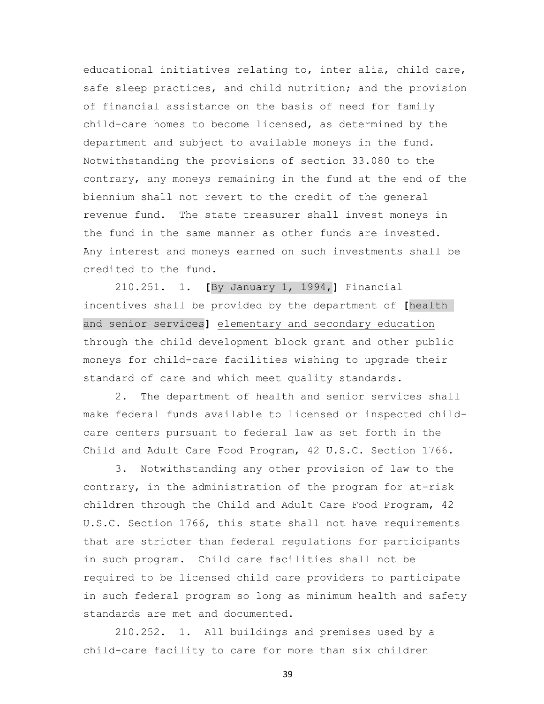educational initiatives relating to, inter alia, child care, safe sleep practices, and child nutrition; and the provision of financial assistance on the basis of need for family child-care homes to become licensed, as determined by the department and subject to available moneys in the fund. Notwithstanding the provisions of section 33.080 to the contrary, any moneys remaining in the fund at the end of the biennium shall not revert to the credit of the general revenue fund. The state treasurer shall invest moneys in the fund in the same manner as other funds are invested. Any interest and moneys earned on such investments shall be credited to the fund.

 210.251. 1. **[**By January 1, 1994,**]** Financial incentives shall be provided by the department of **[**health and senior services**]** elementary and secondary education through the child development block grant and other public moneys for child-care facilities wishing to upgrade their standard of care and which meet quality standards.

 2. The department of health and senior services shall make federal funds available to licensed or inspected childcare centers pursuant to federal law as set forth in the Child and Adult Care Food Program, 42 U.S.C. Section 1766.

 3. Notwithstanding any other provision of law to the contrary, in the administration of the program for at-risk children through the Child and Adult Care Food Program, 42 U.S.C. Section 1766, this state shall not have requirements that are stricter than federal regulations for participants in such program. Child care facilities shall not be required to be licensed child care providers to participate in such federal program so long as minimum health and safety standards are met and documented.

 210.252. 1. All buildings and premises used by a child-care facility to care for more than six children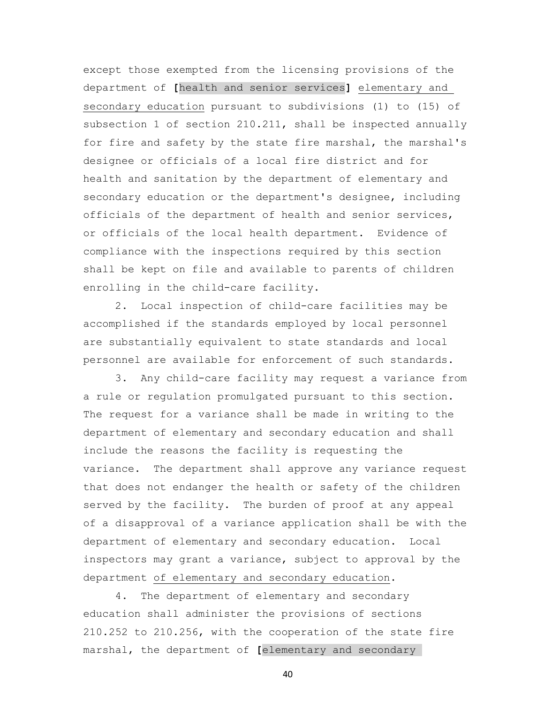except those exempted from the licensing provisions of the department of **[**health and senior services**]** elementary and secondary education pursuant to subdivisions (1) to (15) of subsection 1 of section 210.211, shall be inspected annually for fire and safety by the state fire marshal, the marshal's designee or officials of a local fire district and for health and sanitation by the department of elementary and secondary education or the department's designee, including officials of the department of health and senior services, or officials of the local health department. Evidence of compliance with the inspections required by this section shall be kept on file and available to parents of children enrolling in the child-care facility.

 2. Local inspection of child-care facilities may be accomplished if the standards employed by local personnel are substantially equivalent to state standards and local personnel are available for enforcement of such standards.

 3. Any child-care facility may request a variance from a rule or regulation promulgated pursuant to this section. The request for a variance shall be made in writing to the department of elementary and secondary education and shall include the reasons the facility is requesting the variance. The department shall approve any variance request that does not endanger the health or safety of the children served by the facility. The burden of proof at any appeal of a disapproval of a variance application shall be with the department of elementary and secondary education. Local inspectors may grant a variance, subject to approval by the department of elementary and secondary education.

 4. The department of elementary and secondary education shall administer the provisions of sections 210.252 to 210.256, with the cooperation of the state fire marshal, the department of **[**elementary and secondary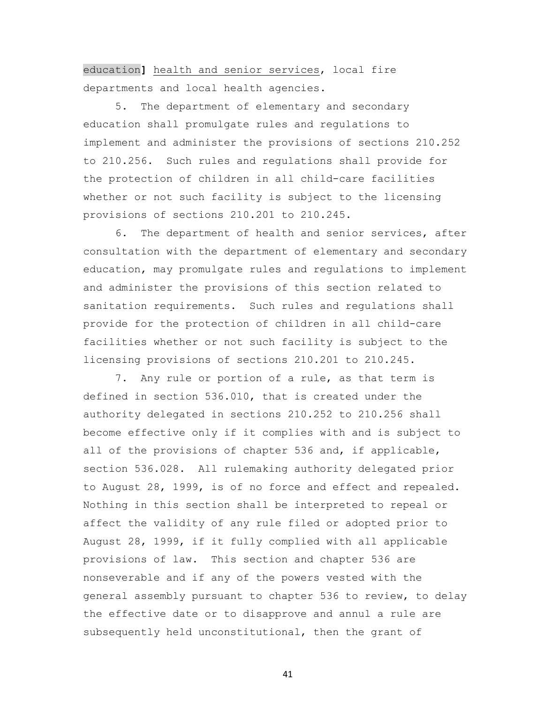education**]** health and senior services, local fire departments and local health agencies.

 5. The department of elementary and secondary education shall promulgate rules and regulations to implement and administer the provisions of sections 210.252 to 210.256. Such rules and regulations shall provide for the protection of children in all child-care facilities whether or not such facility is subject to the licensing provisions of sections 210.201 to 210.245.

 6. The department of health and senior services, after consultation with the department of elementary and secondary education, may promulgate rules and regulations to implement and administer the provisions of this section related to sanitation requirements. Such rules and regulations shall provide for the protection of children in all child-care facilities whether or not such facility is subject to the licensing provisions of sections 210.201 to 210.245.

 7. Any rule or portion of a rule, as that term is defined in section 536.010, that is created under the authority delegated in sections 210.252 to 210.256 shall become effective only if it complies with and is subject to all of the provisions of chapter 536 and, if applicable, section 536.028. All rulemaking authority delegated prior to August 28, 1999, is of no force and effect and repealed. Nothing in this section shall be interpreted to repeal or affect the validity of any rule filed or adopted prior to August 28, 1999, if it fully complied with all applicable provisions of law. This section and chapter 536 are nonseverable and if any of the powers vested with the general assembly pursuant to chapter 536 to review, to delay the effective date or to disapprove and annul a rule are subsequently held unconstitutional, then the grant of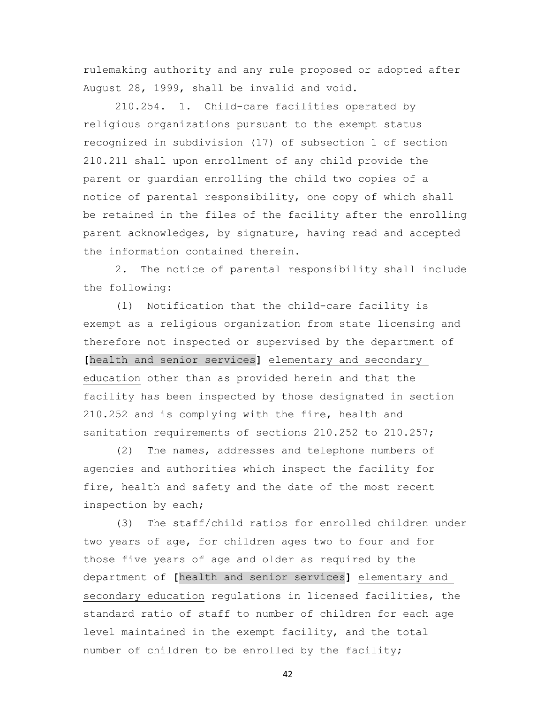rulemaking authority and any rule proposed or adopted after August 28, 1999, shall be invalid and void.

 210.254. 1. Child-care facilities operated by religious organizations pursuant to the exempt status recognized in subdivision (17) of subsection 1 of section 210.211 shall upon enrollment of any child provide the parent or guardian enrolling the child two copies of a notice of parental responsibility, one copy of which shall be retained in the files of the facility after the enrolling parent acknowledges, by signature, having read and accepted the information contained therein.

 2. The notice of parental responsibility shall include the following:

 (1) Notification that the child-care facility is exempt as a religious organization from state licensing and therefore not inspected or supervised by the department of **[**health and senior services**]** elementary and secondary education other than as provided herein and that the facility has been inspected by those designated in section 210.252 and is complying with the fire, health and sanitation requirements of sections 210.252 to 210.257;

 (2) The names, addresses and telephone numbers of agencies and authorities which inspect the facility for fire, health and safety and the date of the most recent inspection by each;

 (3) The staff/child ratios for enrolled children under two years of age, for children ages two to four and for those five years of age and older as required by the department of **[**health and senior services**]** elementary and secondary education regulations in licensed facilities, the standard ratio of staff to number of children for each age level maintained in the exempt facility, and the total number of children to be enrolled by the facility;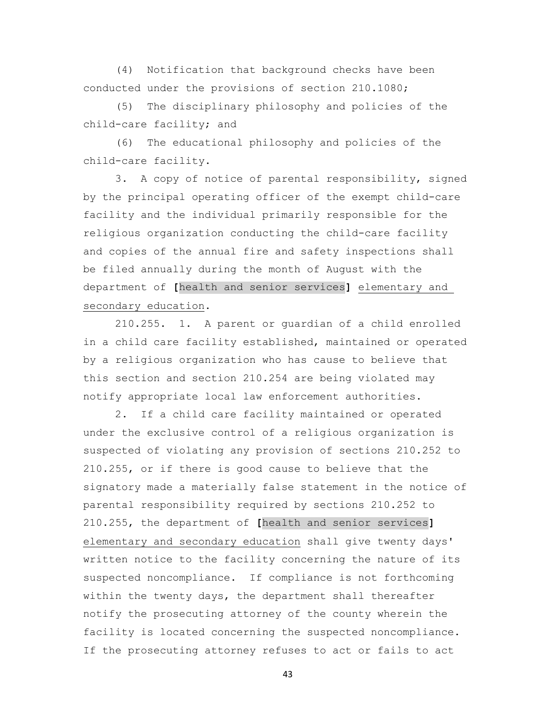(4) Notification that background checks have been conducted under the provisions of section 210.1080;

 (5) The disciplinary philosophy and policies of the child-care facility; and

 (6) The educational philosophy and policies of the child-care facility.

 3. A copy of notice of parental responsibility, signed by the principal operating officer of the exempt child-care facility and the individual primarily responsible for the religious organization conducting the child-care facility and copies of the annual fire and safety inspections shall be filed annually during the month of August with the department of **[**health and senior services**]** elementary and secondary education.

 210.255. 1. A parent or guardian of a child enrolled in a child care facility established, maintained or operated by a religious organization who has cause to believe that this section and section 210.254 are being violated may notify appropriate local law enforcement authorities.

 2. If a child care facility maintained or operated under the exclusive control of a religious organization is suspected of violating any provision of sections 210.252 to 210.255, or if there is good cause to believe that the signatory made a materially false statement in the notice of parental responsibility required by sections 210.252 to 210.255, the department of **[**health and senior services**]** elementary and secondary education shall give twenty days' written notice to the facility concerning the nature of its suspected noncompliance. If compliance is not forthcoming within the twenty days, the department shall thereafter notify the prosecuting attorney of the county wherein the facility is located concerning the suspected noncompliance. If the prosecuting attorney refuses to act or fails to act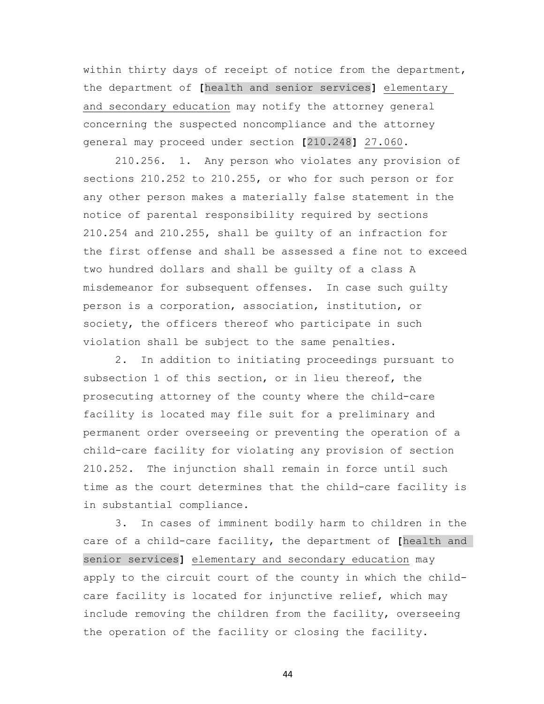within thirty days of receipt of notice from the department, the department of **[**health and senior services**]** elementary and secondary education may notify the attorney general concerning the suspected noncompliance and the attorney general may proceed under section **[**210.248**]** 27.060.

 210.256. 1. Any person who violates any provision of sections 210.252 to 210.255, or who for such person or for any other person makes a materially false statement in the notice of parental responsibility required by sections 210.254 and 210.255, shall be guilty of an infraction for the first offense and shall be assessed a fine not to exceed two hundred dollars and shall be guilty of a class A misdemeanor for subsequent offenses. In case such guilty person is a corporation, association, institution, or society, the officers thereof who participate in such violation shall be subject to the same penalties.

 2. In addition to initiating proceedings pursuant to subsection 1 of this section, or in lieu thereof, the prosecuting attorney of the county where the child-care facility is located may file suit for a preliminary and permanent order overseeing or preventing the operation of a child-care facility for violating any provision of section 210.252. The injunction shall remain in force until such time as the court determines that the child-care facility is in substantial compliance.

 3. In cases of imminent bodily harm to children in the care of a child-care facility, the department of **[**health and senior services**]** elementary and secondary education may apply to the circuit court of the county in which the childcare facility is located for injunctive relief, which may include removing the children from the facility, overseeing the operation of the facility or closing the facility.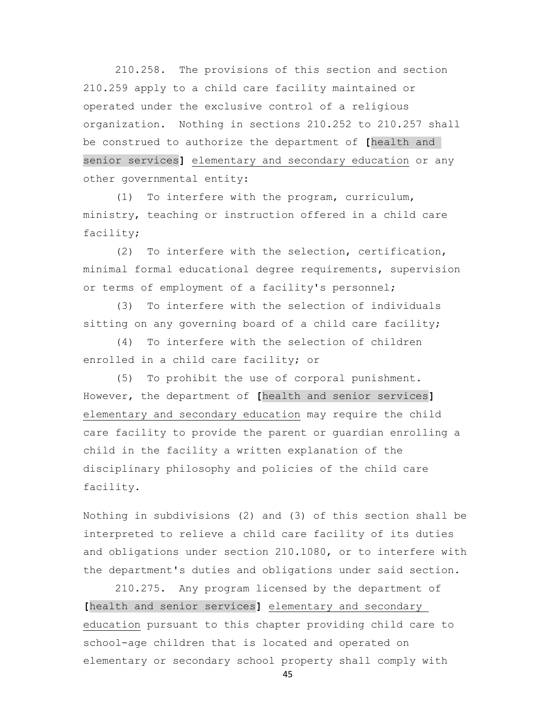210.258. The provisions of this section and section 210.259 apply to a child care facility maintained or operated under the exclusive control of a religious organization. Nothing in sections 210.252 to 210.257 shall be construed to authorize the department of **[**health and senior services**]** elementary and secondary education or any other governmental entity:

 (1) To interfere with the program, curriculum, ministry, teaching or instruction offered in a child care facility;

 (2) To interfere with the selection, certification, minimal formal educational degree requirements, supervision or terms of employment of a facility's personnel;

 (3) To interfere with the selection of individuals sitting on any governing board of a child care facility;

 (4) To interfere with the selection of children enrolled in a child care facility; or

 (5) To prohibit the use of corporal punishment. However, the department of **[**health and senior services**]** elementary and secondary education may require the child care facility to provide the parent or guardian enrolling a child in the facility a written explanation of the disciplinary philosophy and policies of the child care facility.

Nothing in subdivisions (2) and (3) of this section shall be interpreted to relieve a child care facility of its duties and obligations under section 210.1080, or to interfere with the department's duties and obligations under said section.

 210.275. Any program licensed by the department of **[**health and senior services**]** elementary and secondary education pursuant to this chapter providing child care to school-age children that is located and operated on elementary or secondary school property shall comply with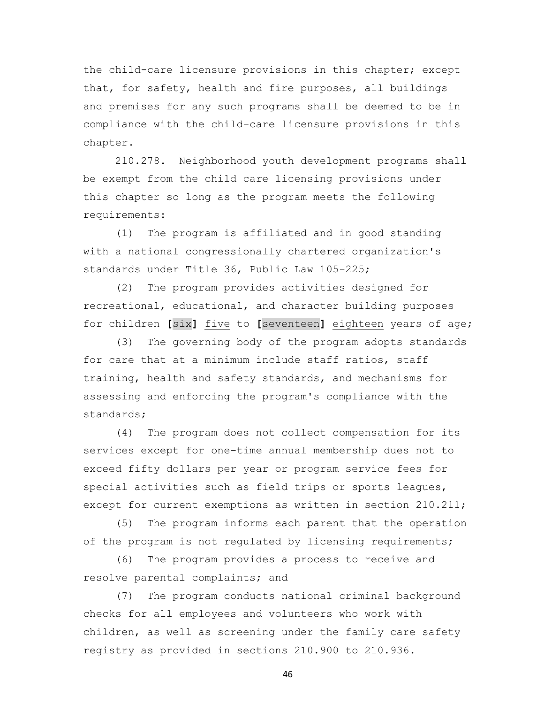the child-care licensure provisions in this chapter; except that, for safety, health and fire purposes, all buildings and premises for any such programs shall be deemed to be in compliance with the child-care licensure provisions in this chapter.

 210.278. Neighborhood youth development programs shall be exempt from the child care licensing provisions under this chapter so long as the program meets the following requirements:

 (1) The program is affiliated and in good standing with a national congressionally chartered organization's standards under Title 36, Public Law 105-225;

 (2) The program provides activities designed for recreational, educational, and character building purposes for children **[**six**]** five to **[**seventeen**]** eighteen years of age;

 (3) The governing body of the program adopts standards for care that at a minimum include staff ratios, staff training, health and safety standards, and mechanisms for assessing and enforcing the program's compliance with the standards;

 (4) The program does not collect compensation for its services except for one-time annual membership dues not to exceed fifty dollars per year or program service fees for special activities such as field trips or sports leagues, except for current exemptions as written in section 210.211;

 (5) The program informs each parent that the operation of the program is not regulated by licensing requirements;

 (6) The program provides a process to receive and resolve parental complaints; and

 (7) The program conducts national criminal background checks for all employees and volunteers who work with children, as well as screening under the family care safety registry as provided in sections 210.900 to 210.936.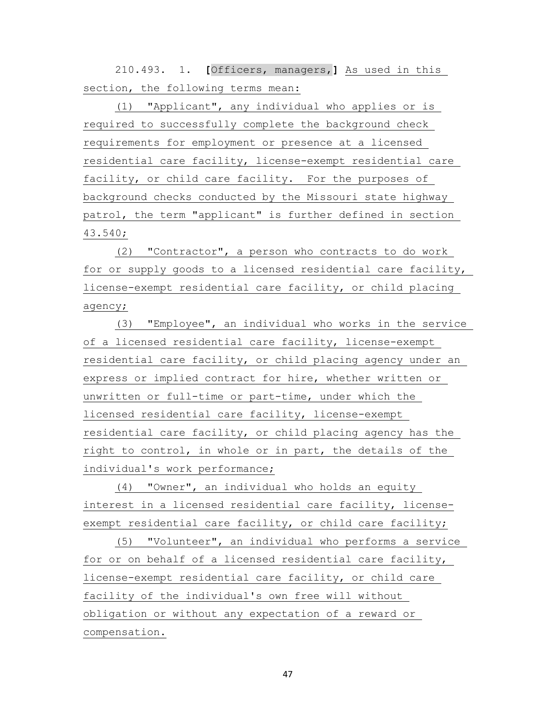210.493. 1. **[**Officers, managers,**]** As used in this section, the following terms mean:

 (1) "Applicant", any individual who applies or is required to successfully complete the background check requirements for employment or presence at a licensed residential care facility, license-exempt residential care facility, or child care facility. For the purposes of background checks conducted by the Missouri state highway patrol, the term "applicant" is further defined in section 43.540;

 (2) "Contractor", a person who contracts to do work for or supply goods to a licensed residential care facility, license-exempt residential care facility, or child placing agency;

 (3) "Employee", an individual who works in the service of a licensed residential care facility, license-exempt residential care facility, or child placing agency under an express or implied contract for hire, whether written or unwritten or full-time or part-time, under which the licensed residential care facility, license-exempt residential care facility, or child placing agency has the right to control, in whole or in part, the details of the individual's work performance;

 (4) "Owner", an individual who holds an equity interest in a licensed residential care facility, licenseexempt residential care facility, or child care facility;

 (5) "Volunteer", an individual who performs a service for or on behalf of a licensed residential care facility, license-exempt residential care facility, or child care facility of the individual's own free will without obligation or without any expectation of a reward or compensation.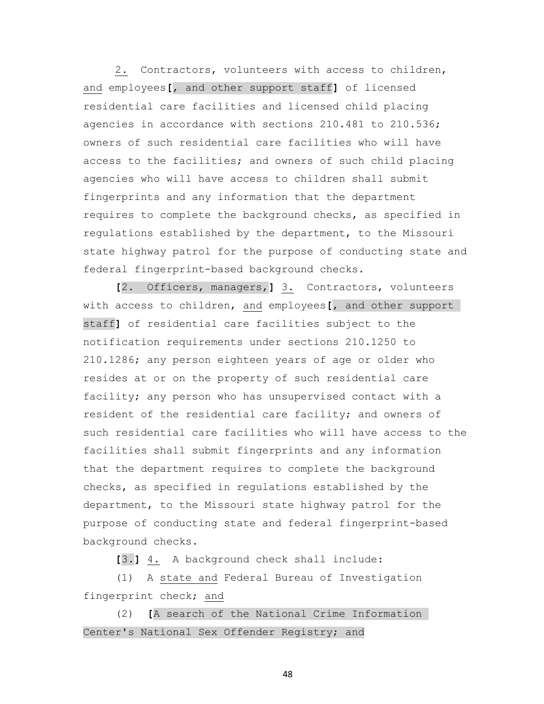2. Contractors, volunteers with access to children, and employees**[**, and other support staff**]** of licensed residential care facilities and licensed child placing agencies in accordance with sections 210.481 to 210.536; owners of such residential care facilities who will have access to the facilities; and owners of such child placing agencies who will have access to children shall submit fingerprints and any information that the department requires to complete the background checks, as specified in regulations established by the department, to the Missouri state highway patrol for the purpose of conducting state and federal fingerprint-based background checks.

 **[**2. Officers, managers,**]** 3. Contractors, volunteers with access to children, and employees**[**, and other support staff**]** of residential care facilities subject to the notification requirements under sections 210.1250 to 210.1286; any person eighteen years of age or older who resides at or on the property of such residential care facility; any person who has unsupervised contact with a resident of the residential care facility; and owners of such residential care facilities who will have access to the facilities shall submit fingerprints and any information that the department requires to complete the background checks, as specified in regulations established by the department, to the Missouri state highway patrol for the purpose of conducting state and federal fingerprint-based background checks.

**[**3.**]** 4. A background check shall include:

 (1) A state and Federal Bureau of Investigation fingerprint check; and

 (2) **[**A search of the National Crime Information Center's National Sex Offender Registry; and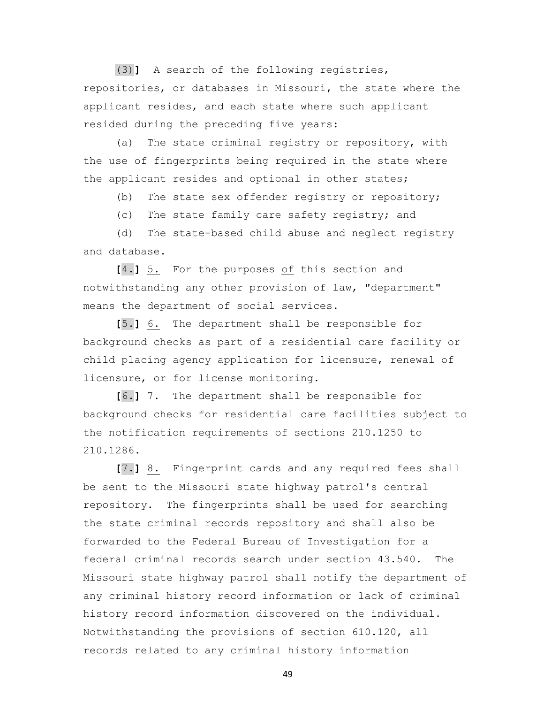(3)**]** A search of the following registries, repositories, or databases in Missouri, the state where the applicant resides, and each state where such applicant resided during the preceding five years:

 (a) The state criminal registry or repository, with the use of fingerprints being required in the state where the applicant resides and optional in other states;

(b) The state sex offender registry or repository;

(c) The state family care safety registry; and

 (d) The state-based child abuse and neglect registry and database.

 **[**4.**]** 5. For the purposes of this section and notwithstanding any other provision of law, "department" means the department of social services.

 **[**5.**]** 6. The department shall be responsible for background checks as part of a residential care facility or child placing agency application for licensure, renewal of licensure, or for license monitoring.

 **[**6.**]** 7. The department shall be responsible for background checks for residential care facilities subject to the notification requirements of sections 210.1250 to 210.1286.

 **[**7.**]** 8. Fingerprint cards and any required fees shall be sent to the Missouri state highway patrol's central repository. The fingerprints shall be used for searching the state criminal records repository and shall also be forwarded to the Federal Bureau of Investigation for a federal criminal records search under section 43.540. The Missouri state highway patrol shall notify the department of any criminal history record information or lack of criminal history record information discovered on the individual. Notwithstanding the provisions of section 610.120, all records related to any criminal history information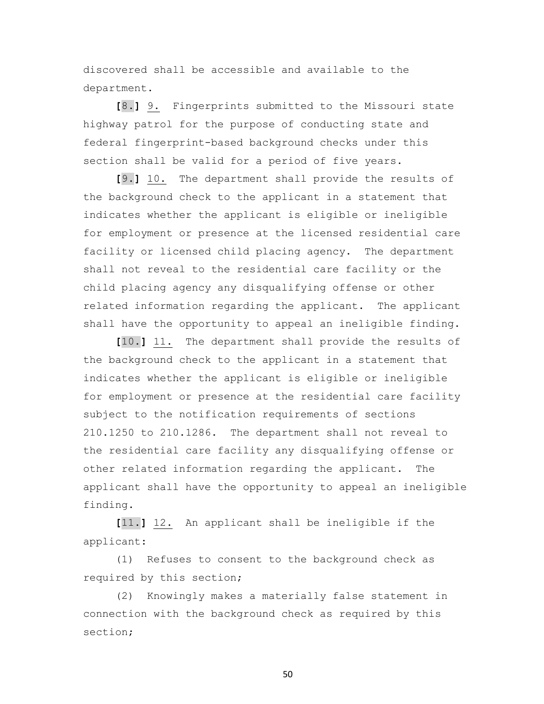discovered shall be accessible and available to the department.

 **[**8.**]** 9. Fingerprints submitted to the Missouri state highway patrol for the purpose of conducting state and federal fingerprint-based background checks under this section shall be valid for a period of five years.

 **[**9.**]** 10. The department shall provide the results of the background check to the applicant in a statement that indicates whether the applicant is eligible or ineligible for employment or presence at the licensed residential care facility or licensed child placing agency. The department shall not reveal to the residential care facility or the child placing agency any disqualifying offense or other related information regarding the applicant. The applicant shall have the opportunity to appeal an ineligible finding.

 **[**10.**]** 11. The department shall provide the results of the background check to the applicant in a statement that indicates whether the applicant is eligible or ineligible for employment or presence at the residential care facility subject to the notification requirements of sections 210.1250 to 210.1286. The department shall not reveal to the residential care facility any disqualifying offense or other related information regarding the applicant. The applicant shall have the opportunity to appeal an ineligible finding.

 **[**11.**]** 12. An applicant shall be ineligible if the applicant:

 (1) Refuses to consent to the background check as required by this section;

 (2) Knowingly makes a materially false statement in connection with the background check as required by this section;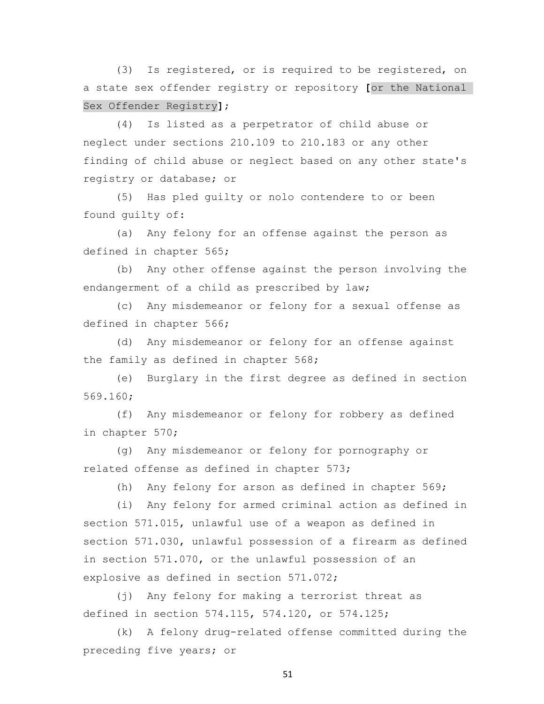(3) Is registered, or is required to be registered, on a state sex offender registry or repository **[**or the National Sex Offender Registry**]**;

 (4) Is listed as a perpetrator of child abuse or neglect under sections 210.109 to 210.183 or any other finding of child abuse or neglect based on any other state's registry or database; or

 (5) Has pled guilty or nolo contendere to or been found guilty of:

 (a) Any felony for an offense against the person as defined in chapter 565;

 (b) Any other offense against the person involving the endangerment of a child as prescribed by law;

 (c) Any misdemeanor or felony for a sexual offense as defined in chapter 566;

 (d) Any misdemeanor or felony for an offense against the family as defined in chapter 568;

 (e) Burglary in the first degree as defined in section 569.160;

 (f) Any misdemeanor or felony for robbery as defined in chapter 570;

 (g) Any misdemeanor or felony for pornography or related offense as defined in chapter 573;

(h) Any felony for arson as defined in chapter 569;

 (i) Any felony for armed criminal action as defined in section 571.015, unlawful use of a weapon as defined in section 571.030, unlawful possession of a firearm as defined in section 571.070, or the unlawful possession of an explosive as defined in section 571.072;

 (j) Any felony for making a terrorist threat as defined in section 574.115, 574.120, or 574.125;

 (k) A felony drug-related offense committed during the preceding five years; or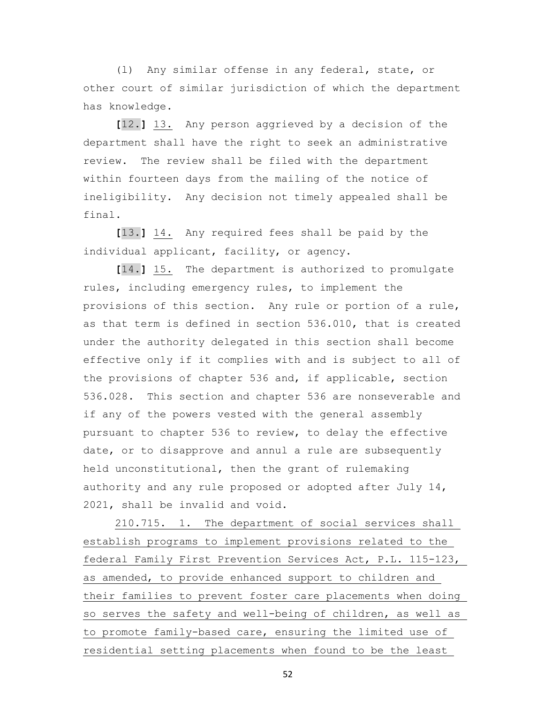(l) Any similar offense in any federal, state, or other court of similar jurisdiction of which the department has knowledge.

 **[**12.**]** 13. Any person aggrieved by a decision of the department shall have the right to seek an administrative review. The review shall be filed with the department within fourteen days from the mailing of the notice of ineligibility. Any decision not timely appealed shall be final.

 **[**13.**]** 14. Any required fees shall be paid by the individual applicant, facility, or agency.

 **[**14.**]** 15. The department is authorized to promulgate rules, including emergency rules, to implement the provisions of this section. Any rule or portion of a rule, as that term is defined in section 536.010, that is created under the authority delegated in this section shall become effective only if it complies with and is subject to all of the provisions of chapter 536 and, if applicable, section 536.028. This section and chapter 536 are nonseverable and if any of the powers vested with the general assembly pursuant to chapter 536 to review, to delay the effective date, or to disapprove and annul a rule are subsequently held unconstitutional, then the grant of rulemaking authority and any rule proposed or adopted after July 14, 2021, shall be invalid and void.

 210.715. 1. The department of social services shall establish programs to implement provisions related to the federal Family First Prevention Services Act, P.L. 115-123, as amended, to provide enhanced support to children and their families to prevent foster care placements when doing so serves the safety and well-being of children, as well as to promote family-based care, ensuring the limited use of residential setting placements when found to be the least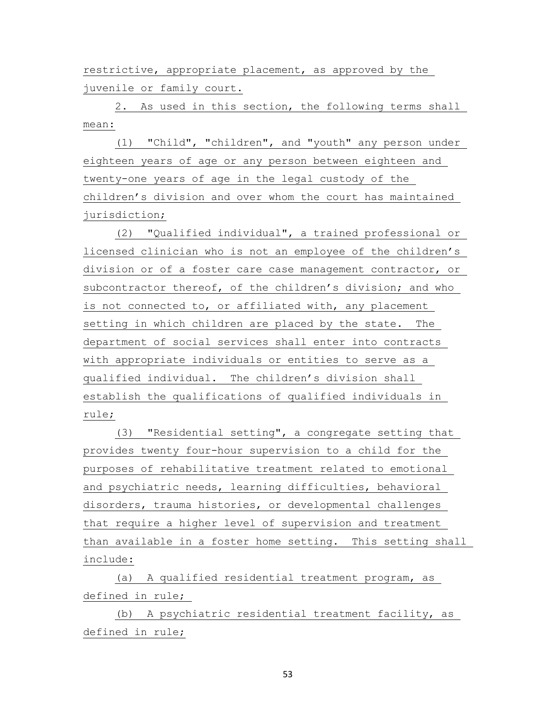restrictive, appropriate placement, as approved by the juvenile or family court.

 2. As used in this section, the following terms shall mean:

 (1) "Child", "children", and "youth" any person under eighteen years of age or any person between eighteen and twenty-one years of age in the legal custody of the children's division and over whom the court has maintained jurisdiction;

 (2) "Qualified individual", a trained professional or licensed clinician who is not an employee of the children's division or of a foster care case management contractor, or subcontractor thereof, of the children's division; and who is not connected to, or affiliated with, any placement setting in which children are placed by the state. The department of social services shall enter into contracts with appropriate individuals or entities to serve as a qualified individual. The children's division shall establish the qualifications of qualified individuals in rule;

 (3) "Residential setting", a congregate setting that provides twenty four-hour supervision to a child for the purposes of rehabilitative treatment related to emotional and psychiatric needs, learning difficulties, behavioral disorders, trauma histories, or developmental challenges that require a higher level of supervision and treatment than available in a foster home setting. This setting shall include:

 (a) A qualified residential treatment program, as defined in rule;

 (b) A psychiatric residential treatment facility, as defined in rule;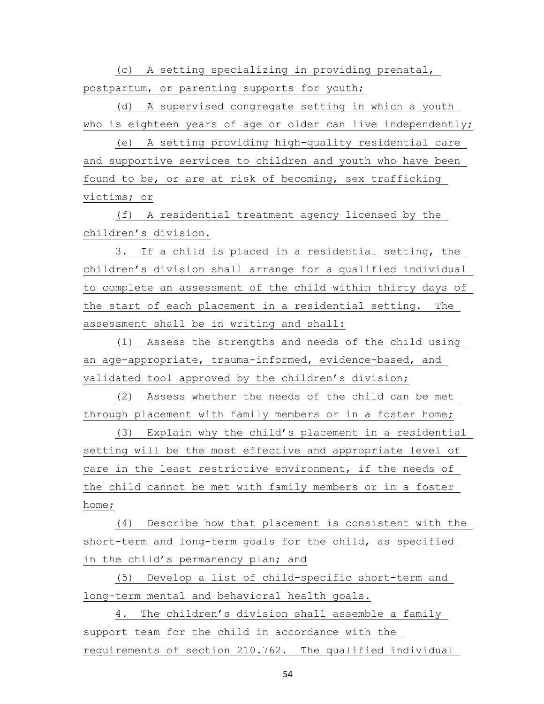(c) A setting specializing in providing prenatal, postpartum, or parenting supports for youth;

 (d) A supervised congregate setting in which a youth who is eighteen years of age or older can live independently;

 (e) A setting providing high-quality residential care and supportive services to children and youth who have been found to be, or are at risk of becoming, sex trafficking victims; or

 (f) A residential treatment agency licensed by the children's division.

 3. If a child is placed in a residential setting, the children's division shall arrange for a qualified individual to complete an assessment of the child within thirty days of the start of each placement in a residential setting. The assessment shall be in writing and shall:

 (1) Assess the strengths and needs of the child using an age-appropriate, trauma-informed, evidence-based, and validated tool approved by the children's division;

 (2) Assess whether the needs of the child can be met through placement with family members or in a foster home;

 (3) Explain why the child's placement in a residential setting will be the most effective and appropriate level of care in the least restrictive environment, if the needs of the child cannot be met with family members or in a foster home;

 (4) Describe how that placement is consistent with the short-term and long-term goals for the child, as specified in the child's permanency plan; and

 (5) Develop a list of child-specific short-term and long-term mental and behavioral health goals.

 4. The children's division shall assemble a family support team for the child in accordance with the requirements of section 210.762. The qualified individual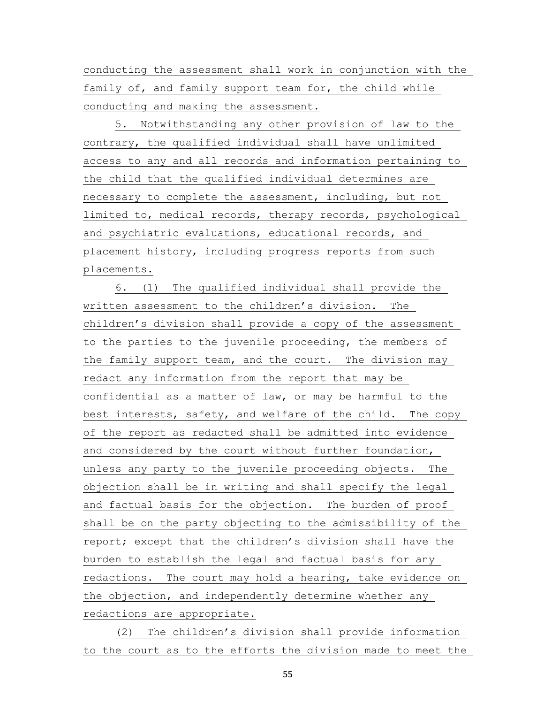conducting the assessment shall work in conjunction with the family of, and family support team for, the child while conducting and making the assessment.

 5. Notwithstanding any other provision of law to the contrary, the qualified individual shall have unlimited access to any and all records and information pertaining to the child that the qualified individual determines are necessary to complete the assessment, including, but not limited to, medical records, therapy records, psychological and psychiatric evaluations, educational records, and placement history, including progress reports from such placements.

 6. (1) The qualified individual shall provide the written assessment to the children's division. The children's division shall provide a copy of the assessment to the parties to the juvenile proceeding, the members of the family support team, and the court. The division may redact any information from the report that may be confidential as a matter of law, or may be harmful to the best interests, safety, and welfare of the child. The copy of the report as redacted shall be admitted into evidence and considered by the court without further foundation, unless any party to the juvenile proceeding objects. The objection shall be in writing and shall specify the legal and factual basis for the objection. The burden of proof shall be on the party objecting to the admissibility of the report; except that the children's division shall have the burden to establish the legal and factual basis for any redactions. The court may hold a hearing, take evidence on the objection, and independently determine whether any redactions are appropriate.

 (2) The children's division shall provide information to the court as to the efforts the division made to meet the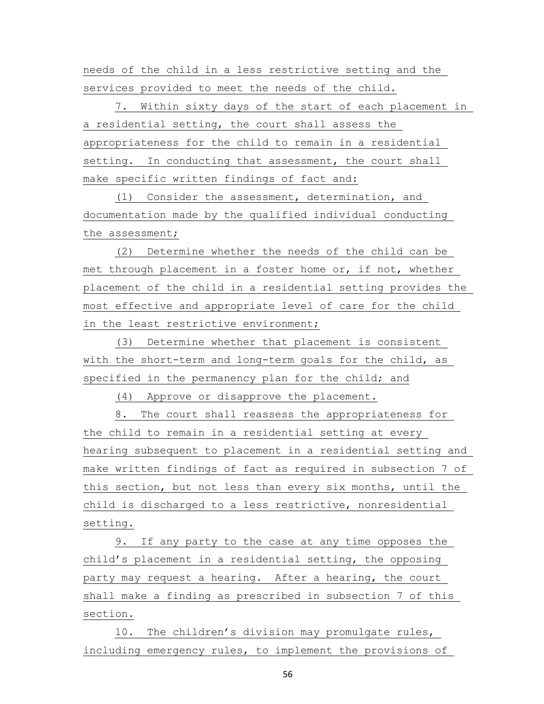needs of the child in a less restrictive setting and the services provided to meet the needs of the child.

 7. Within sixty days of the start of each placement in a residential setting, the court shall assess the appropriateness for the child to remain in a residential setting. In conducting that assessment, the court shall make specific written findings of fact and:

 (1) Consider the assessment, determination, and documentation made by the qualified individual conducting the assessment;

 (2) Determine whether the needs of the child can be met through placement in a foster home or, if not, whether placement of the child in a residential setting provides the most effective and appropriate level of care for the child in the least restrictive environment;

 (3) Determine whether that placement is consistent with the short-term and long-term goals for the child, as specified in the permanency plan for the child; and

(4) Approve or disapprove the placement.

 8. The court shall reassess the appropriateness for the child to remain in a residential setting at every hearing subsequent to placement in a residential setting and make written findings of fact as required in subsection 7 of this section, but not less than every six months, until the child is discharged to a less restrictive, nonresidential setting.

 9. If any party to the case at any time opposes the child's placement in a residential setting, the opposing party may request a hearing. After a hearing, the court shall make a finding as prescribed in subsection 7 of this section.

 10. The children's division may promulgate rules, including emergency rules, to implement the provisions of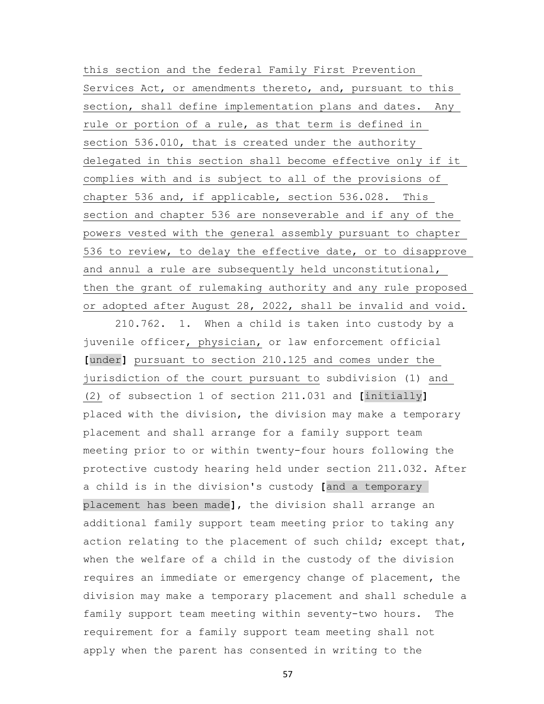this section and the federal Family First Prevention Services Act, or amendments thereto, and, pursuant to this section, shall define implementation plans and dates. Any rule or portion of a rule, as that term is defined in section 536.010, that is created under the authority delegated in this section shall become effective only if it complies with and is subject to all of the provisions of chapter 536 and, if applicable, section 536.028. This section and chapter 536 are nonseverable and if any of the powers vested with the general assembly pursuant to chapter 536 to review, to delay the effective date, or to disapprove and annul a rule are subsequently held unconstitutional, then the grant of rulemaking authority and any rule proposed or adopted after August 28, 2022, shall be invalid and void.

 210.762. 1. When a child is taken into custody by a juvenile officer, physician, or law enforcement official **[**under**]** pursuant to section 210.125 and comes under the jurisdiction of the court pursuant to subdivision (1) and (2) of subsection 1 of section 211.031 and **[**initially**]** placed with the division, the division may make a temporary placement and shall arrange for a family support team meeting prior to or within twenty-four hours following the protective custody hearing held under section 211.032. After a child is in the division's custody **[**and a temporary placement has been made**]**, the division shall arrange an additional family support team meeting prior to taking any action relating to the placement of such child; except that, when the welfare of a child in the custody of the division requires an immediate or emergency change of placement, the division may make a temporary placement and shall schedule a family support team meeting within seventy-two hours. The requirement for a family support team meeting shall not apply when the parent has consented in writing to the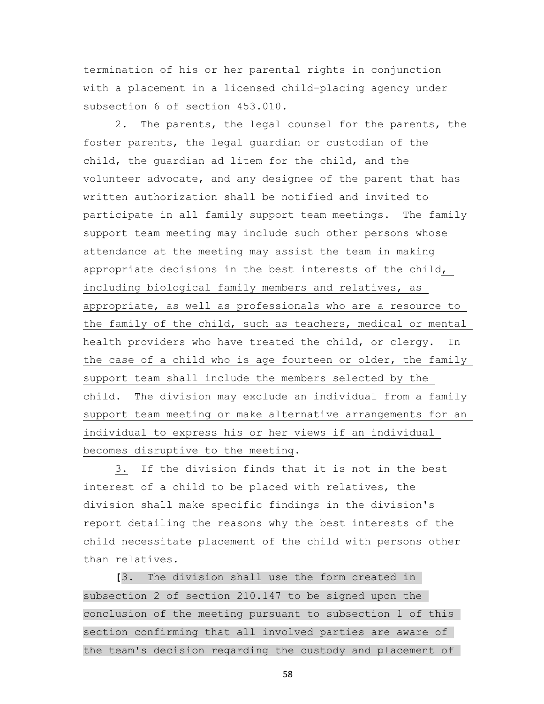termination of his or her parental rights in conjunction with a placement in a licensed child-placing agency under subsection 6 of section 453.010.

 2. The parents, the legal counsel for the parents, the foster parents, the legal guardian or custodian of the child, the guardian ad litem for the child, and the volunteer advocate, and any designee of the parent that has written authorization shall be notified and invited to participate in all family support team meetings. The family support team meeting may include such other persons whose attendance at the meeting may assist the team in making appropriate decisions in the best interests of the child, including biological family members and relatives, as appropriate, as well as professionals who are a resource to the family of the child, such as teachers, medical or mental health providers who have treated the child, or clergy. In the case of a child who is age fourteen or older, the family support team shall include the members selected by the child. The division may exclude an individual from a family support team meeting or make alternative arrangements for an individual to express his or her views if an individual becomes disruptive to the meeting.

 3. If the division finds that it is not in the best interest of a child to be placed with relatives, the division shall make specific findings in the division's report detailing the reasons why the best interests of the child necessitate placement of the child with persons other than relatives.

 **[**3. The division shall use the form created in subsection 2 of section 210.147 to be signed upon the conclusion of the meeting pursuant to subsection 1 of this section confirming that all involved parties are aware of the team's decision regarding the custody and placement of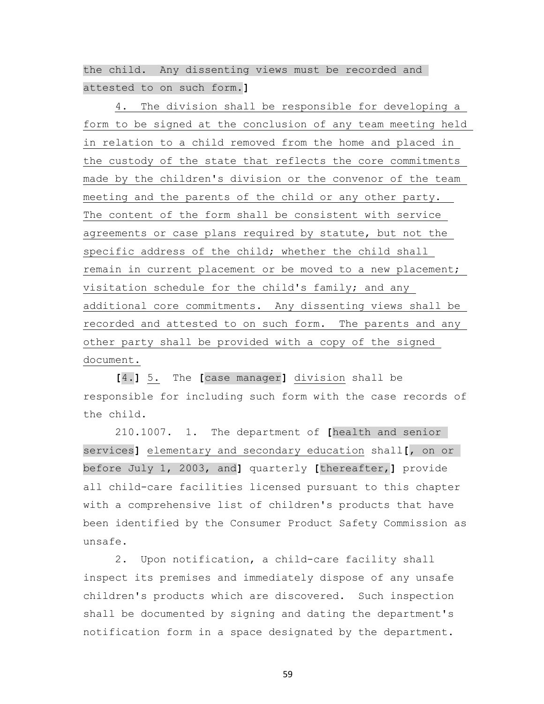the child. Any dissenting views must be recorded and attested to on such form.**]**

 4. The division shall be responsible for developing a form to be signed at the conclusion of any team meeting held in relation to a child removed from the home and placed in the custody of the state that reflects the core commitments made by the children's division or the convenor of the team meeting and the parents of the child or any other party. The content of the form shall be consistent with service agreements or case plans required by statute, but not the specific address of the child; whether the child shall remain in current placement or be moved to a new placement; visitation schedule for the child's family; and any additional core commitments. Any dissenting views shall be recorded and attested to on such form. The parents and any other party shall be provided with a copy of the signed document.

 **[**4.**]** 5. The **[**case manager**]** division shall be responsible for including such form with the case records of the child.

 210.1007. 1. The department of **[**health and senior services**]** elementary and secondary education shall**[**, on or before July 1, 2003, and**]** quarterly **[**thereafter,**]** provide all child-care facilities licensed pursuant to this chapter with a comprehensive list of children's products that have been identified by the Consumer Product Safety Commission as unsafe.

 2. Upon notification, a child-care facility shall inspect its premises and immediately dispose of any unsafe children's products which are discovered. Such inspection shall be documented by signing and dating the department's notification form in a space designated by the department.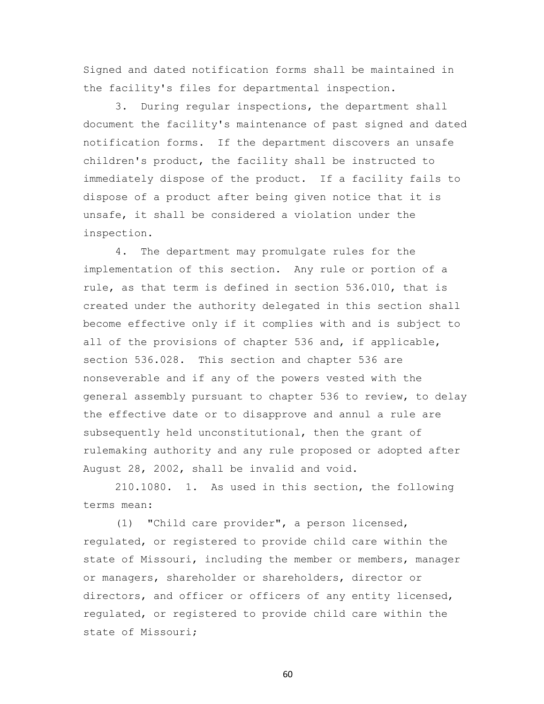Signed and dated notification forms shall be maintained in the facility's files for departmental inspection.

 3. During regular inspections, the department shall document the facility's maintenance of past signed and dated notification forms. If the department discovers an unsafe children's product, the facility shall be instructed to immediately dispose of the product. If a facility fails to dispose of a product after being given notice that it is unsafe, it shall be considered a violation under the inspection.

 4. The department may promulgate rules for the implementation of this section. Any rule or portion of a rule, as that term is defined in section 536.010, that is created under the authority delegated in this section shall become effective only if it complies with and is subject to all of the provisions of chapter 536 and, if applicable, section 536.028. This section and chapter 536 are nonseverable and if any of the powers vested with the general assembly pursuant to chapter 536 to review, to delay the effective date or to disapprove and annul a rule are subsequently held unconstitutional, then the grant of rulemaking authority and any rule proposed or adopted after August 28, 2002, shall be invalid and void.

 210.1080. 1. As used in this section, the following terms mean:

 (1) "Child care provider", a person licensed, regulated, or registered to provide child care within the state of Missouri, including the member or members, manager or managers, shareholder or shareholders, director or directors, and officer or officers of any entity licensed, regulated, or registered to provide child care within the state of Missouri;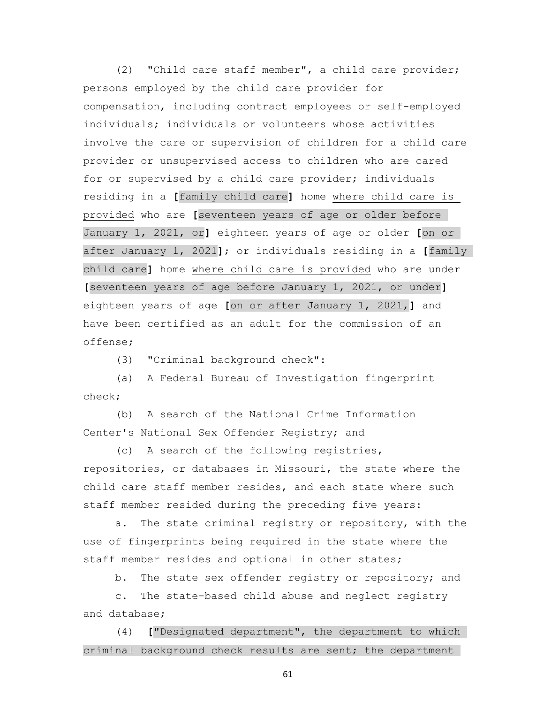(2) "Child care staff member", a child care provider; persons employed by the child care provider for compensation, including contract employees or self-employed individuals; individuals or volunteers whose activities involve the care or supervision of children for a child care provider or unsupervised access to children who are cared for or supervised by a child care provider; individuals residing in a **[**family child care**]** home where child care is provided who are **[**seventeen years of age or older before January 1, 2021, or**]** eighteen years of age or older **[**on or after January 1, 2021**]**; or individuals residing in a **[**family child care**]** home where child care is provided who are under **[**seventeen years of age before January 1, 2021, or under**]** eighteen years of age **[**on or after January 1, 2021,**]** and have been certified as an adult for the commission of an offense;

(3) "Criminal background check":

 (a) A Federal Bureau of Investigation fingerprint check;

 (b) A search of the National Crime Information Center's National Sex Offender Registry; and

 (c) A search of the following registries, repositories, or databases in Missouri, the state where the child care staff member resides, and each state where such staff member resided during the preceding five years:

 a. The state criminal registry or repository, with the use of fingerprints being required in the state where the staff member resides and optional in other states;

b. The state sex offender registry or repository; and

 c. The state-based child abuse and neglect registry and database;

 (4) **[**"Designated department", the department to which criminal background check results are sent; the department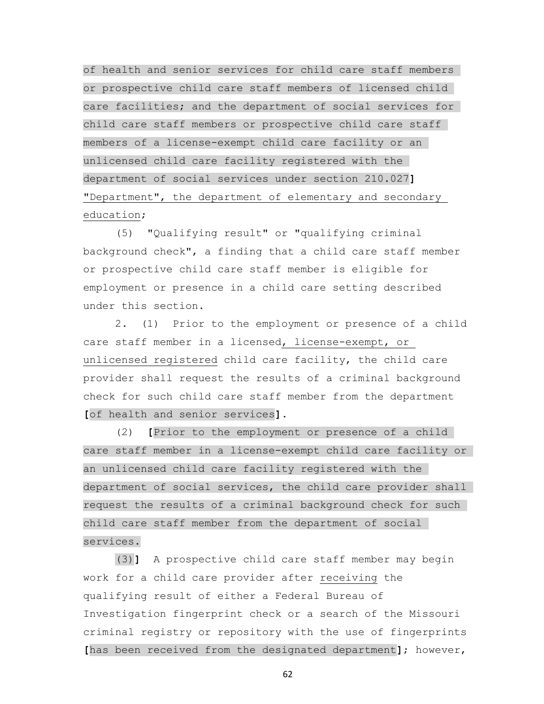of health and senior services for child care staff members or prospective child care staff members of licensed child care facilities; and the department of social services for child care staff members or prospective child care staff members of a license-exempt child care facility or an unlicensed child care facility registered with the department of social services under section 210.027**]** "Department", the department of elementary and secondary education;

 (5) "Qualifying result" or "qualifying criminal background check", a finding that a child care staff member or prospective child care staff member is eligible for employment or presence in a child care setting described under this section.

 2. (1) Prior to the employment or presence of a child care staff member in a licensed, license-exempt, or unlicensed registered child care facility, the child care provider shall request the results of a criminal background check for such child care staff member from the department **[**of health and senior services**]**.

 (2) **[**Prior to the employment or presence of a child care staff member in a license-exempt child care facility or an unlicensed child care facility registered with the department of social services, the child care provider shall request the results of a criminal background check for such child care staff member from the department of social services.

 (3)**]** A prospective child care staff member may begin work for a child care provider after receiving the qualifying result of either a Federal Bureau of Investigation fingerprint check or a search of the Missouri criminal registry or repository with the use of fingerprints **[**has been received from the designated department**]**; however,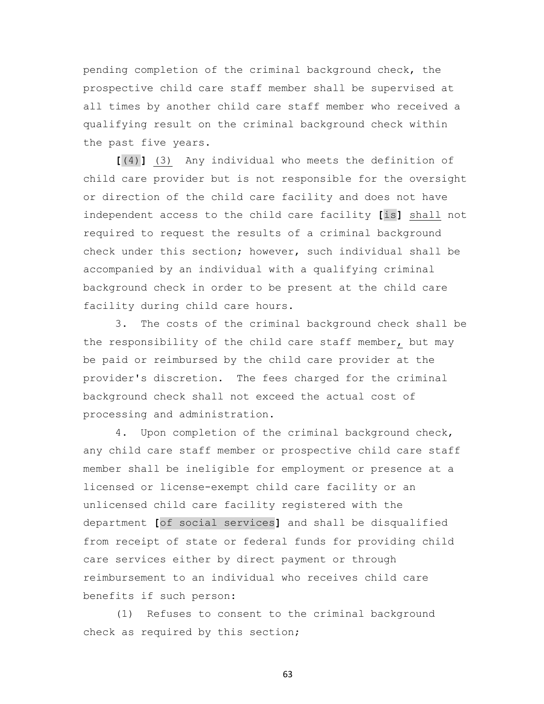pending completion of the criminal background check, the prospective child care staff member shall be supervised at all times by another child care staff member who received a qualifying result on the criminal background check within the past five years.

 **[**(4)**]** (3) Any individual who meets the definition of child care provider but is not responsible for the oversight or direction of the child care facility and does not have independent access to the child care facility **[**is**]** shall not required to request the results of a criminal background check under this section; however, such individual shall be accompanied by an individual with a qualifying criminal background check in order to be present at the child care facility during child care hours.

 3. The costs of the criminal background check shall be the responsibility of the child care staff member, but may be paid or reimbursed by the child care provider at the provider's discretion. The fees charged for the criminal background check shall not exceed the actual cost of processing and administration.

 4. Upon completion of the criminal background check, any child care staff member or prospective child care staff member shall be ineligible for employment or presence at a licensed or license-exempt child care facility or an unlicensed child care facility registered with the department **[**of social services**]** and shall be disqualified from receipt of state or federal funds for providing child care services either by direct payment or through reimbursement to an individual who receives child care benefits if such person:

 (1) Refuses to consent to the criminal background check as required by this section;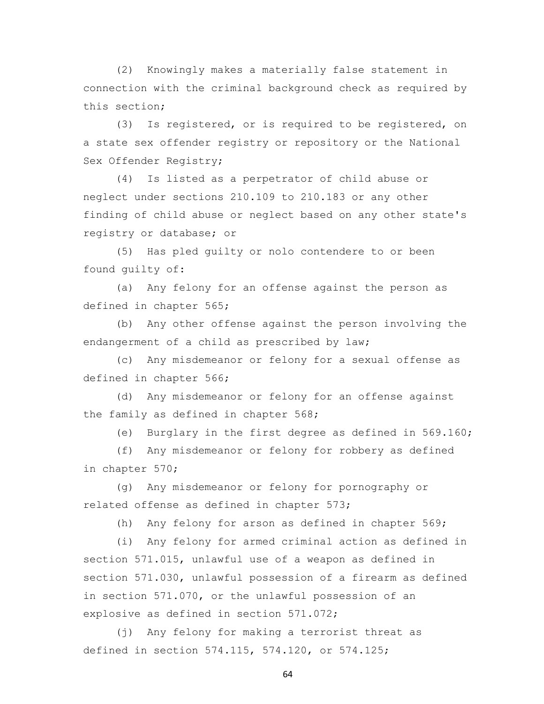(2) Knowingly makes a materially false statement in connection with the criminal background check as required by this section;

 (3) Is registered, or is required to be registered, on a state sex offender registry or repository or the National Sex Offender Registry;

 (4) Is listed as a perpetrator of child abuse or neglect under sections 210.109 to 210.183 or any other finding of child abuse or neglect based on any other state's registry or database; or

 (5) Has pled guilty or nolo contendere to or been found guilty of:

 (a) Any felony for an offense against the person as defined in chapter 565;

 (b) Any other offense against the person involving the endangerment of a child as prescribed by law;

 (c) Any misdemeanor or felony for a sexual offense as defined in chapter 566;

 (d) Any misdemeanor or felony for an offense against the family as defined in chapter 568;

(e) Burglary in the first degree as defined in 569.160;

 (f) Any misdemeanor or felony for robbery as defined in chapter 570;

 (g) Any misdemeanor or felony for pornography or related offense as defined in chapter 573;

(h) Any felony for arson as defined in chapter 569;

 (i) Any felony for armed criminal action as defined in section 571.015, unlawful use of a weapon as defined in section 571.030, unlawful possession of a firearm as defined in section 571.070, or the unlawful possession of an explosive as defined in section 571.072;

 (j) Any felony for making a terrorist threat as defined in section 574.115, 574.120, or 574.125;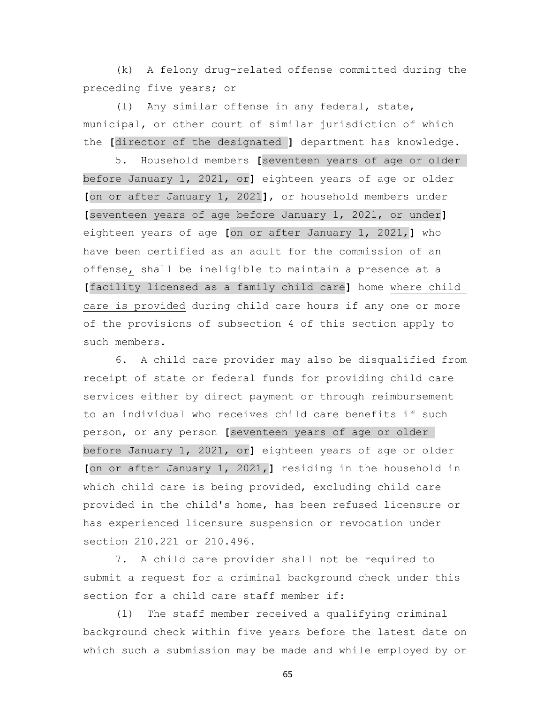(k) A felony drug-related offense committed during the preceding five years; or

 (l) Any similar offense in any federal, state, municipal, or other court of similar jurisdiction of which the **[**director of the designated **]** department has knowledge.

 5. Household members **[**seventeen years of age or older before January 1, 2021, or**]** eighteen years of age or older **[**on or after January 1, 2021**]**, or household members under **[**seventeen years of age before January 1, 2021, or under**]** eighteen years of age **[**on or after January 1, 2021,**]** who have been certified as an adult for the commission of an offense, shall be ineligible to maintain a presence at a **[**facility licensed as a family child care**]** home where child care is provided during child care hours if any one or more of the provisions of subsection 4 of this section apply to such members.

 6. A child care provider may also be disqualified from receipt of state or federal funds for providing child care services either by direct payment or through reimbursement to an individual who receives child care benefits if such person, or any person **[**seventeen years of age or older before January 1, 2021, or**]** eighteen years of age or older **[**on or after January 1, 2021,**]** residing in the household in which child care is being provided, excluding child care provided in the child's home, has been refused licensure or has experienced licensure suspension or revocation under section 210.221 or 210.496.

 7. A child care provider shall not be required to submit a request for a criminal background check under this section for a child care staff member if:

 (1) The staff member received a qualifying criminal background check within five years before the latest date on which such a submission may be made and while employed by or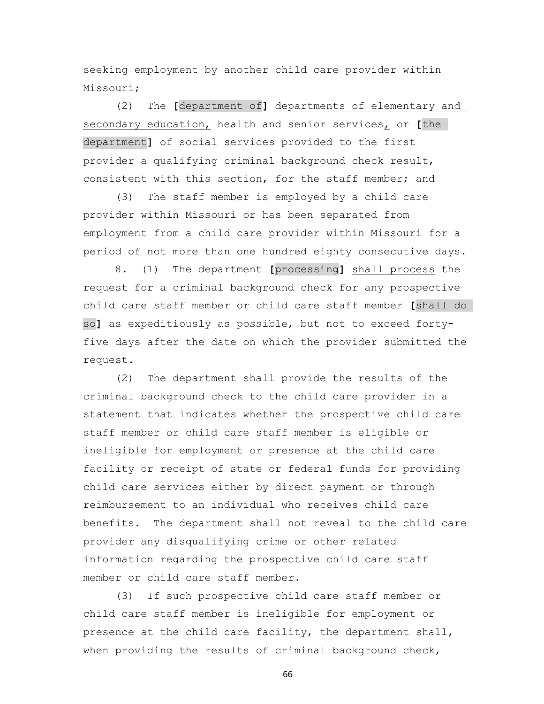seeking employment by another child care provider within Missouri;

 (2) The **[**department of**]** departments of elementary and secondary education, health and senior services, or **[**the department**]** of social services provided to the first provider a qualifying criminal background check result, consistent with this section, for the staff member; and

 (3) The staff member is employed by a child care provider within Missouri or has been separated from employment from a child care provider within Missouri for a period of not more than one hundred eighty consecutive days.

 8. (1) The department **[**processing**]** shall process the request for a criminal background check for any prospective child care staff member or child care staff member **[**shall do so**]** as expeditiously as possible, but not to exceed fortyfive days after the date on which the provider submitted the request.

 (2) The department shall provide the results of the criminal background check to the child care provider in a statement that indicates whether the prospective child care staff member or child care staff member is eligible or ineligible for employment or presence at the child care facility or receipt of state or federal funds for providing child care services either by direct payment or through reimbursement to an individual who receives child care benefits. The department shall not reveal to the child care provider any disqualifying crime or other related information regarding the prospective child care staff member or child care staff member.

 (3) If such prospective child care staff member or child care staff member is ineligible for employment or presence at the child care facility, the department shall, when providing the results of criminal background check,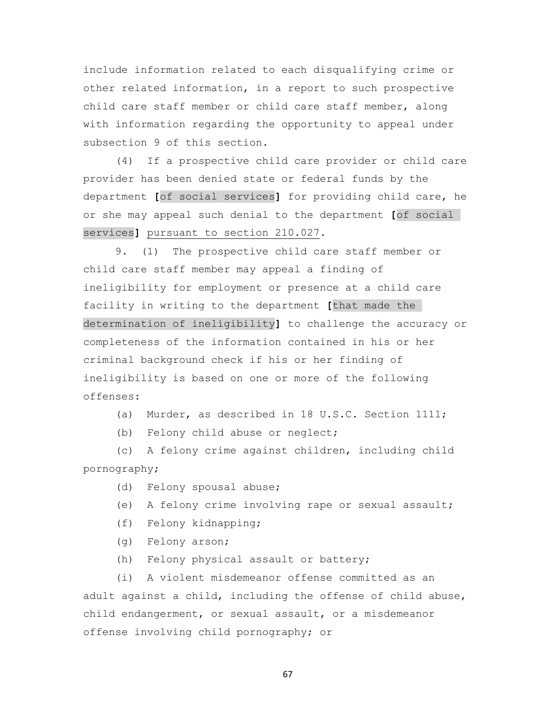include information related to each disqualifying crime or other related information, in a report to such prospective child care staff member or child care staff member, along with information regarding the opportunity to appeal under subsection 9 of this section.

 (4) If a prospective child care provider or child care provider has been denied state or federal funds by the department **[**of social services**]** for providing child care, he or she may appeal such denial to the department **[**of social services**]** pursuant to section 210.027.

 9. (1) The prospective child care staff member or child care staff member may appeal a finding of ineligibility for employment or presence at a child care facility in writing to the department **[**that made the determination of ineligibility**]** to challenge the accuracy or completeness of the information contained in his or her criminal background check if his or her finding of ineligibility is based on one or more of the following offenses:

- (a) Murder, as described in 18 U.S.C. Section 1111;
- (b) Felony child abuse or neglect;

 (c) A felony crime against children, including child pornography;

- (d) Felony spousal abuse;
- (e) A felony crime involving rape or sexual assault;
- (f) Felony kidnapping;
- (g) Felony arson;
- (h) Felony physical assault or battery;

 (i) A violent misdemeanor offense committed as an adult against a child, including the offense of child abuse, child endangerment, or sexual assault, or a misdemeanor offense involving child pornography; or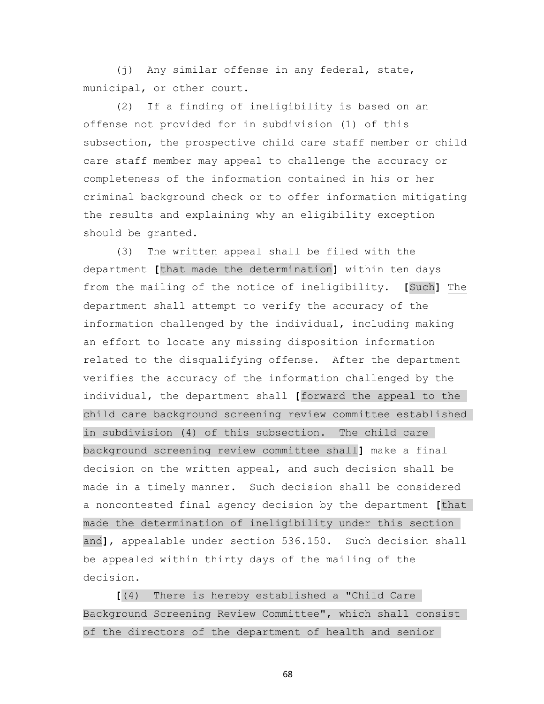(j) Any similar offense in any federal, state, municipal, or other court.

 (2) If a finding of ineligibility is based on an offense not provided for in subdivision (1) of this subsection, the prospective child care staff member or child care staff member may appeal to challenge the accuracy or completeness of the information contained in his or her criminal background check or to offer information mitigating the results and explaining why an eligibility exception should be granted.

 (3) The written appeal shall be filed with the department **[**that made the determination**]** within ten days from the mailing of the notice of ineligibility. **[**Such**]** The department shall attempt to verify the accuracy of the information challenged by the individual, including making an effort to locate any missing disposition information related to the disqualifying offense. After the department verifies the accuracy of the information challenged by the individual, the department shall **[**forward the appeal to the child care background screening review committee established in subdivision (4) of this subsection. The child care background screening review committee shall**]** make a final decision on the written appeal, and such decision shall be made in a timely manner. Such decision shall be considered a noncontested final agency decision by the department **[**that made the determination of ineligibility under this section and**]**, appealable under section 536.150. Such decision shall be appealed within thirty days of the mailing of the decision.

 **[**(4) There is hereby established a "Child Care Background Screening Review Committee", which shall consist of the directors of the department of health and senior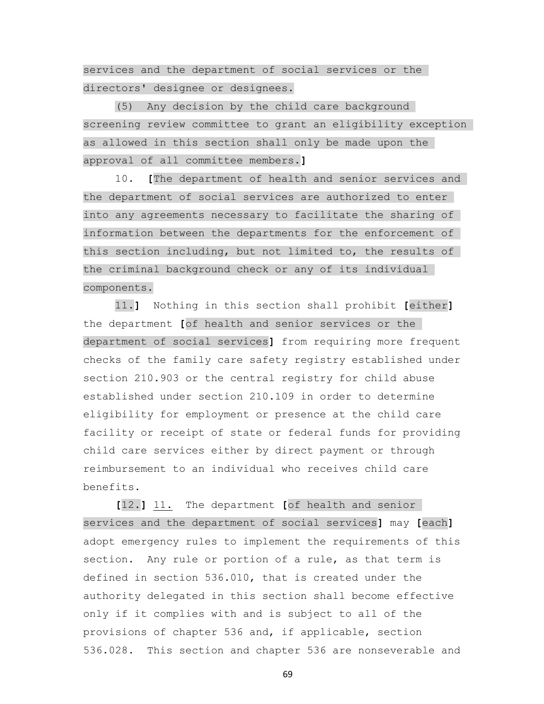services and the department of social services or the directors' designee or designees.

 (5) Any decision by the child care background screening review committee to grant an eligibility exception as allowed in this section shall only be made upon the approval of all committee members.**]**

 10. **[**The department of health and senior services and the department of social services are authorized to enter into any agreements necessary to facilitate the sharing of information between the departments for the enforcement of this section including, but not limited to, the results of the criminal background check or any of its individual components.

 11.**]** Nothing in this section shall prohibit **[**either**]** the department **[**of health and senior services or the department of social services**]** from requiring more frequent checks of the family care safety registry established under section 210.903 or the central registry for child abuse established under section 210.109 in order to determine eligibility for employment or presence at the child care facility or receipt of state or federal funds for providing child care services either by direct payment or through reimbursement to an individual who receives child care benefits.

 **[**12.**]** 11. The department **[**of health and senior services and the department of social services**]** may **[**each**]** adopt emergency rules to implement the requirements of this section. Any rule or portion of a rule, as that term is defined in section 536.010, that is created under the authority delegated in this section shall become effective only if it complies with and is subject to all of the provisions of chapter 536 and, if applicable, section 536.028. This section and chapter 536 are nonseverable and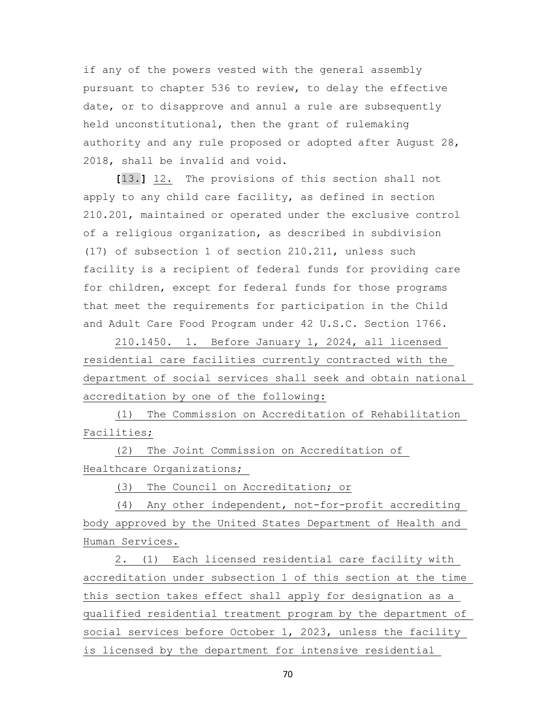if any of the powers vested with the general assembly pursuant to chapter 536 to review, to delay the effective date, or to disapprove and annul a rule are subsequently held unconstitutional, then the grant of rulemaking authority and any rule proposed or adopted after August 28, 2018, shall be invalid and void.

 **[**13.**]** 12. The provisions of this section shall not apply to any child care facility, as defined in section 210.201, maintained or operated under the exclusive control of a religious organization, as described in subdivision (17) of subsection 1 of section 210.211, unless such facility is a recipient of federal funds for providing care for children, except for federal funds for those programs that meet the requirements for participation in the Child and Adult Care Food Program under 42 U.S.C. Section 1766.

 210.1450. 1. Before January 1, 2024, all licensed residential care facilities currently contracted with the department of social services shall seek and obtain national accreditation by one of the following:

 (1) The Commission on Accreditation of Rehabilitation Facilities;

 (2) The Joint Commission on Accreditation of Healthcare Organizations;

(3) The Council on Accreditation; or

 (4) Any other independent, not-for-profit accrediting body approved by the United States Department of Health and Human Services.

 2. (1) Each licensed residential care facility with accreditation under subsection 1 of this section at the time this section takes effect shall apply for designation as a qualified residential treatment program by the department of social services before October 1, 2023, unless the facility is licensed by the department for intensive residential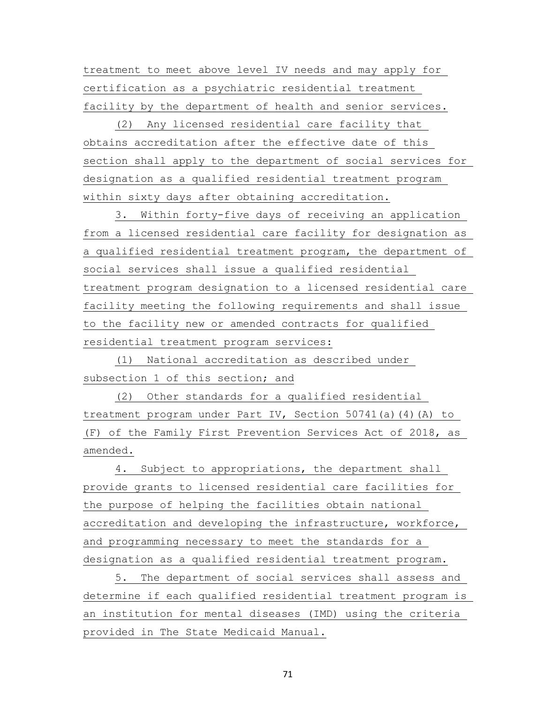treatment to meet above level IV needs and may apply for certification as a psychiatric residential treatment facility by the department of health and senior services.

 (2) Any licensed residential care facility that obtains accreditation after the effective date of this section shall apply to the department of social services for designation as a qualified residential treatment program within sixty days after obtaining accreditation.

 3. Within forty-five days of receiving an application from a licensed residential care facility for designation as a qualified residential treatment program, the department of social services shall issue a qualified residential treatment program designation to a licensed residential care facility meeting the following requirements and shall issue to the facility new or amended contracts for qualified residential treatment program services:

 (1) National accreditation as described under subsection 1 of this section; and

 (2) Other standards for a qualified residential treatment program under Part IV, Section 50741(a)(4)(A) to (F) of the Family First Prevention Services Act of 2018, as amended.

 4. Subject to appropriations, the department shall provide grants to licensed residential care facilities for the purpose of helping the facilities obtain national accreditation and developing the infrastructure, workforce, and programming necessary to meet the standards for a designation as a qualified residential treatment program.

 5. The department of social services shall assess and determine if each qualified residential treatment program is an institution for mental diseases (IMD) using the criteria provided in The State Medicaid Manual.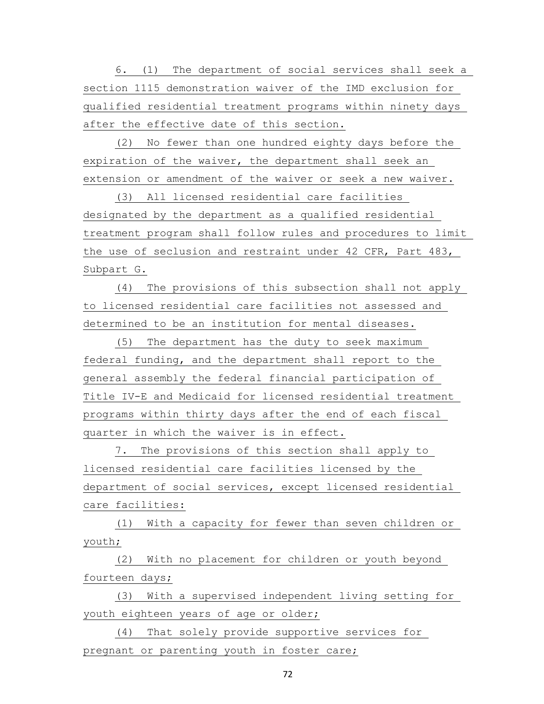6. (1) The department of social services shall seek a section 1115 demonstration waiver of the IMD exclusion for qualified residential treatment programs within ninety days after the effective date of this section.

 (2) No fewer than one hundred eighty days before the expiration of the waiver, the department shall seek an extension or amendment of the waiver or seek a new waiver.

 (3) All licensed residential care facilities designated by the department as a qualified residential treatment program shall follow rules and procedures to limit the use of seclusion and restraint under 42 CFR, Part 483, Subpart G.

 (4) The provisions of this subsection shall not apply to licensed residential care facilities not assessed and determined to be an institution for mental diseases.

 (5) The department has the duty to seek maximum federal funding, and the department shall report to the general assembly the federal financial participation of Title IV-E and Medicaid for licensed residential treatment programs within thirty days after the end of each fiscal quarter in which the waiver is in effect.

 7. The provisions of this section shall apply to licensed residential care facilities licensed by the department of social services, except licensed residential care facilities:

 (1) With a capacity for fewer than seven children or youth;

 (2) With no placement for children or youth beyond fourteen days;

 (3) With a supervised independent living setting for youth eighteen years of age or older;

 (4) That solely provide supportive services for pregnant or parenting youth in foster care;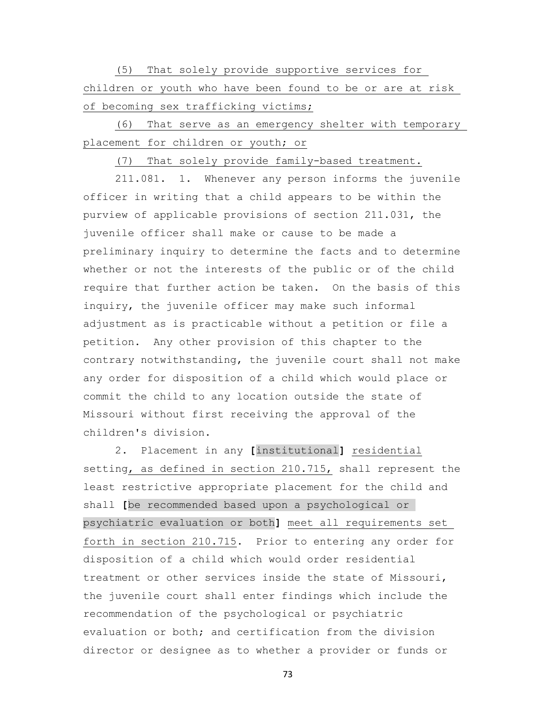(5) That solely provide supportive services for children or youth who have been found to be or are at risk of becoming sex trafficking victims;

 (6) That serve as an emergency shelter with temporary placement for children or youth; or

(7) That solely provide family-based treatment.

 211.081. 1. Whenever any person informs the juvenile officer in writing that a child appears to be within the purview of applicable provisions of section 211.031, the juvenile officer shall make or cause to be made a preliminary inquiry to determine the facts and to determine whether or not the interests of the public or of the child require that further action be taken. On the basis of this inquiry, the juvenile officer may make such informal adjustment as is practicable without a petition or file a petition. Any other provision of this chapter to the contrary notwithstanding, the juvenile court shall not make any order for disposition of a child which would place or commit the child to any location outside the state of Missouri without first receiving the approval of the children's division.

 2. Placement in any **[**institutional**]** residential setting, as defined in section 210.715, shall represent the least restrictive appropriate placement for the child and shall **[**be recommended based upon a psychological or psychiatric evaluation or both**]** meet all requirements set forth in section 210.715. Prior to entering any order for disposition of a child which would order residential treatment or other services inside the state of Missouri, the juvenile court shall enter findings which include the recommendation of the psychological or psychiatric evaluation or both; and certification from the division director or designee as to whether a provider or funds or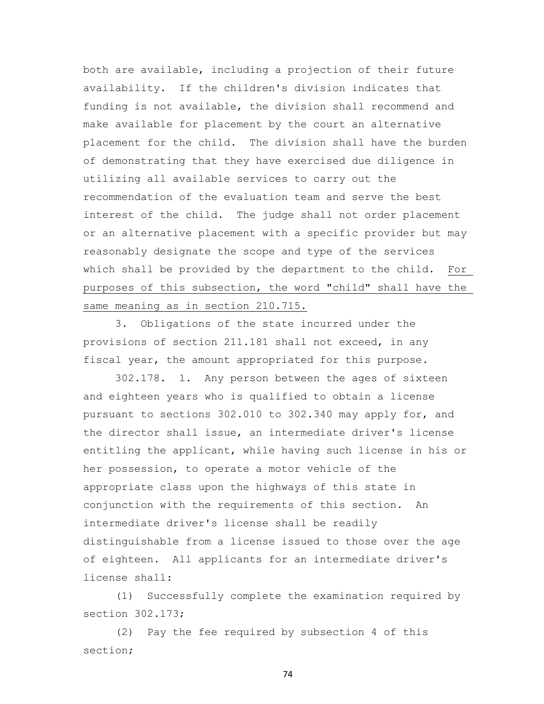both are available, including a projection of their future availability. If the children's division indicates that funding is not available, the division shall recommend and make available for placement by the court an alternative placement for the child. The division shall have the burden of demonstrating that they have exercised due diligence in utilizing all available services to carry out the recommendation of the evaluation team and serve the best interest of the child. The judge shall not order placement or an alternative placement with a specific provider but may reasonably designate the scope and type of the services which shall be provided by the department to the child. For purposes of this subsection, the word "child" shall have the same meaning as in section 210.715.

 3. Obligations of the state incurred under the provisions of section 211.181 shall not exceed, in any fiscal year, the amount appropriated for this purpose.

 302.178. 1. Any person between the ages of sixteen and eighteen years who is qualified to obtain a license pursuant to sections 302.010 to 302.340 may apply for, and the director shall issue, an intermediate driver's license entitling the applicant, while having such license in his or her possession, to operate a motor vehicle of the appropriate class upon the highways of this state in conjunction with the requirements of this section. An intermediate driver's license shall be readily distinguishable from a license issued to those over the age of eighteen. All applicants for an intermediate driver's license shall:

 (1) Successfully complete the examination required by section 302.173;

 (2) Pay the fee required by subsection 4 of this section;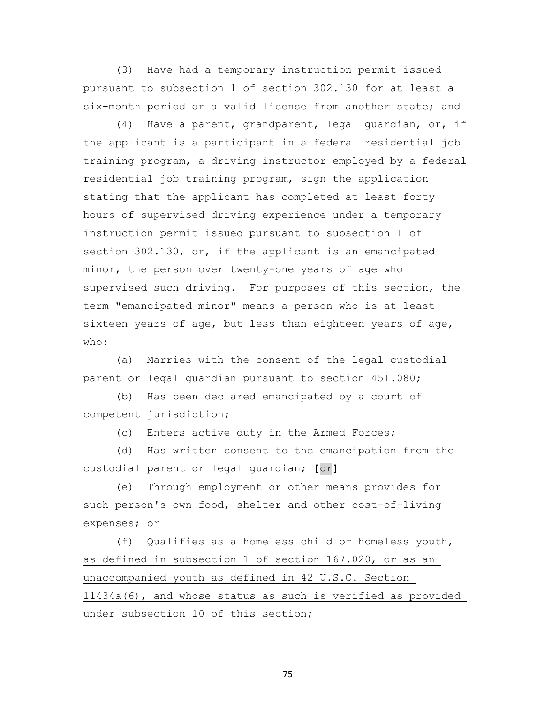(3) Have had a temporary instruction permit issued pursuant to subsection 1 of section 302.130 for at least a six-month period or a valid license from another state; and

 (4) Have a parent, grandparent, legal guardian, or, if the applicant is a participant in a federal residential job training program, a driving instructor employed by a federal residential job training program, sign the application stating that the applicant has completed at least forty hours of supervised driving experience under a temporary instruction permit issued pursuant to subsection 1 of section 302.130, or, if the applicant is an emancipated minor, the person over twenty-one years of age who supervised such driving. For purposes of this section, the term "emancipated minor" means a person who is at least sixteen years of age, but less than eighteen years of age, who:

 (a) Marries with the consent of the legal custodial parent or legal guardian pursuant to section 451.080;

 (b) Has been declared emancipated by a court of competent jurisdiction;

(c) Enters active duty in the Armed Forces;

 (d) Has written consent to the emancipation from the custodial parent or legal guardian; **[**or**]**

 (e) Through employment or other means provides for such person's own food, shelter and other cost-of-living expenses; or

 (f) Qualifies as a homeless child or homeless youth, as defined in subsection 1 of section 167.020, or as an unaccompanied youth as defined in 42 U.S.C. Section 11434a(6), and whose status as such is verified as provided under subsection 10 of this section;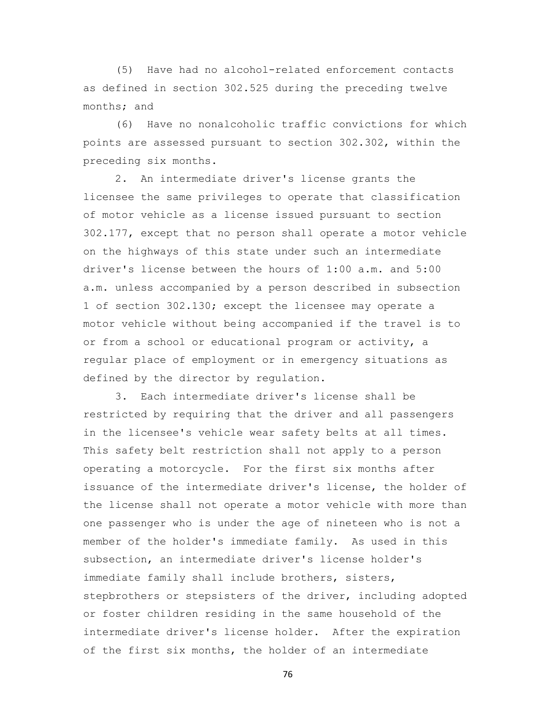(5) Have had no alcohol-related enforcement contacts as defined in section 302.525 during the preceding twelve months; and

 (6) Have no nonalcoholic traffic convictions for which points are assessed pursuant to section 302.302, within the preceding six months.

 2. An intermediate driver's license grants the licensee the same privileges to operate that classification of motor vehicle as a license issued pursuant to section 302.177, except that no person shall operate a motor vehicle on the highways of this state under such an intermediate driver's license between the hours of 1:00 a.m. and 5:00 a.m. unless accompanied by a person described in subsection 1 of section 302.130; except the licensee may operate a motor vehicle without being accompanied if the travel is to or from a school or educational program or activity, a regular place of employment or in emergency situations as defined by the director by regulation.

 3. Each intermediate driver's license shall be restricted by requiring that the driver and all passengers in the licensee's vehicle wear safety belts at all times. This safety belt restriction shall not apply to a person operating a motorcycle. For the first six months after issuance of the intermediate driver's license, the holder of the license shall not operate a motor vehicle with more than one passenger who is under the age of nineteen who is not a member of the holder's immediate family. As used in this subsection, an intermediate driver's license holder's immediate family shall include brothers, sisters, stepbrothers or stepsisters of the driver, including adopted or foster children residing in the same household of the intermediate driver's license holder. After the expiration of the first six months, the holder of an intermediate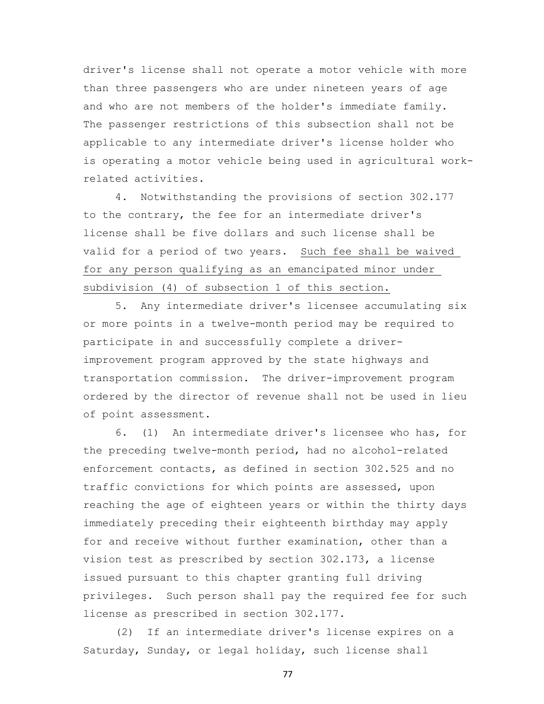driver's license shall not operate a motor vehicle with more than three passengers who are under nineteen years of age and who are not members of the holder's immediate family. The passenger restrictions of this subsection shall not be applicable to any intermediate driver's license holder who is operating a motor vehicle being used in agricultural workrelated activities.

 4. Notwithstanding the provisions of section 302.177 to the contrary, the fee for an intermediate driver's license shall be five dollars and such license shall be valid for a period of two years. Such fee shall be waived for any person qualifying as an emancipated minor under subdivision (4) of subsection 1 of this section.

 5. Any intermediate driver's licensee accumulating six or more points in a twelve-month period may be required to participate in and successfully complete a driverimprovement program approved by the state highways and transportation commission. The driver-improvement program ordered by the director of revenue shall not be used in lieu of point assessment.

 6. (1) An intermediate driver's licensee who has, for the preceding twelve-month period, had no alcohol-related enforcement contacts, as defined in section 302.525 and no traffic convictions for which points are assessed, upon reaching the age of eighteen years or within the thirty days immediately preceding their eighteenth birthday may apply for and receive without further examination, other than a vision test as prescribed by section 302.173, a license issued pursuant to this chapter granting full driving privileges. Such person shall pay the required fee for such license as prescribed in section 302.177.

 (2) If an intermediate driver's license expires on a Saturday, Sunday, or legal holiday, such license shall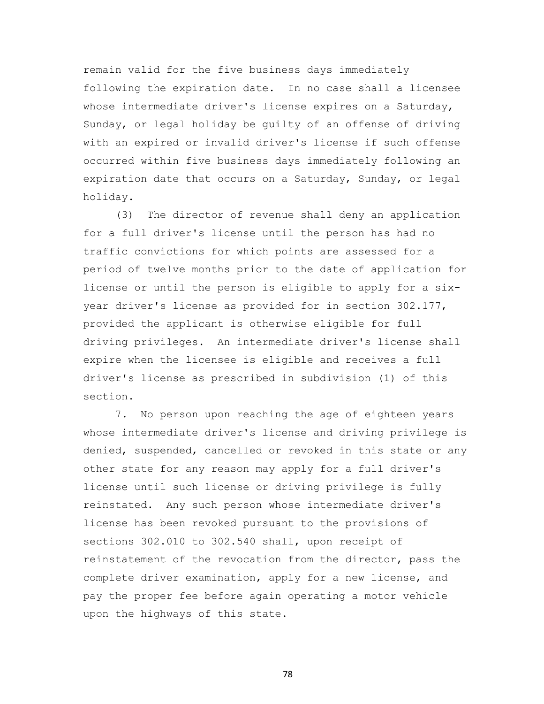remain valid for the five business days immediately following the expiration date. In no case shall a licensee whose intermediate driver's license expires on a Saturday, Sunday, or legal holiday be guilty of an offense of driving with an expired or invalid driver's license if such offense occurred within five business days immediately following an expiration date that occurs on a Saturday, Sunday, or legal holiday.

 (3) The director of revenue shall deny an application for a full driver's license until the person has had no traffic convictions for which points are assessed for a period of twelve months prior to the date of application for license or until the person is eligible to apply for a sixyear driver's license as provided for in section 302.177, provided the applicant is otherwise eligible for full driving privileges. An intermediate driver's license shall expire when the licensee is eligible and receives a full driver's license as prescribed in subdivision (1) of this section.

 7. No person upon reaching the age of eighteen years whose intermediate driver's license and driving privilege is denied, suspended, cancelled or revoked in this state or any other state for any reason may apply for a full driver's license until such license or driving privilege is fully reinstated. Any such person whose intermediate driver's license has been revoked pursuant to the provisions of sections 302.010 to 302.540 shall, upon receipt of reinstatement of the revocation from the director, pass the complete driver examination, apply for a new license, and pay the proper fee before again operating a motor vehicle upon the highways of this state.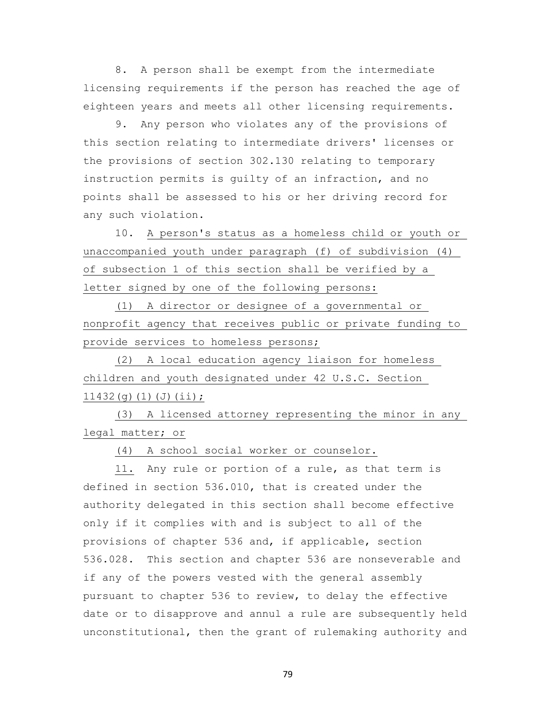8. A person shall be exempt from the intermediate licensing requirements if the person has reached the age of eighteen years and meets all other licensing requirements.

 9. Any person who violates any of the provisions of this section relating to intermediate drivers' licenses or the provisions of section 302.130 relating to temporary instruction permits is guilty of an infraction, and no points shall be assessed to his or her driving record for any such violation.

 10. A person's status as a homeless child or youth or unaccompanied youth under paragraph (f) of subdivision (4) of subsection 1 of this section shall be verified by a letter signed by one of the following persons:

 (1) A director or designee of a governmental or nonprofit agency that receives public or private funding to provide services to homeless persons;

 (2) A local education agency liaison for homeless children and youth designated under 42 U.S.C. Section 11432(g)(1)(J)(ii);

 (3) A licensed attorney representing the minor in any legal matter; or

(4) A school social worker or counselor.

 11. Any rule or portion of a rule, as that term is defined in section 536.010, that is created under the authority delegated in this section shall become effective only if it complies with and is subject to all of the provisions of chapter 536 and, if applicable, section 536.028. This section and chapter 536 are nonseverable and if any of the powers vested with the general assembly pursuant to chapter 536 to review, to delay the effective date or to disapprove and annul a rule are subsequently held unconstitutional, then the grant of rulemaking authority and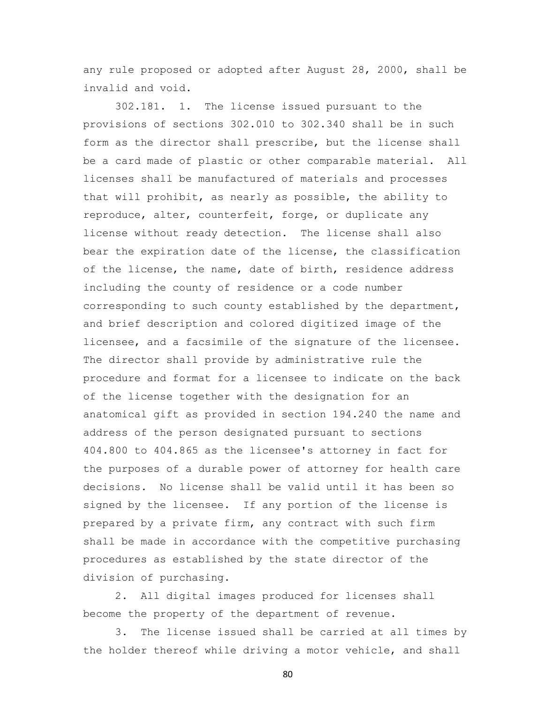any rule proposed or adopted after August 28, 2000, shall be invalid and void.

 302.181. 1. The license issued pursuant to the provisions of sections 302.010 to 302.340 shall be in such form as the director shall prescribe, but the license shall be a card made of plastic or other comparable material. All licenses shall be manufactured of materials and processes that will prohibit, as nearly as possible, the ability to reproduce, alter, counterfeit, forge, or duplicate any license without ready detection. The license shall also bear the expiration date of the license, the classification of the license, the name, date of birth, residence address including the county of residence or a code number corresponding to such county established by the department, and brief description and colored digitized image of the licensee, and a facsimile of the signature of the licensee. The director shall provide by administrative rule the procedure and format for a licensee to indicate on the back of the license together with the designation for an anatomical gift as provided in section 194.240 the name and address of the person designated pursuant to sections 404.800 to 404.865 as the licensee's attorney in fact for the purposes of a durable power of attorney for health care decisions. No license shall be valid until it has been so signed by the licensee. If any portion of the license is prepared by a private firm, any contract with such firm shall be made in accordance with the competitive purchasing procedures as established by the state director of the division of purchasing.

 2. All digital images produced for licenses shall become the property of the department of revenue.

 3. The license issued shall be carried at all times by the holder thereof while driving a motor vehicle, and shall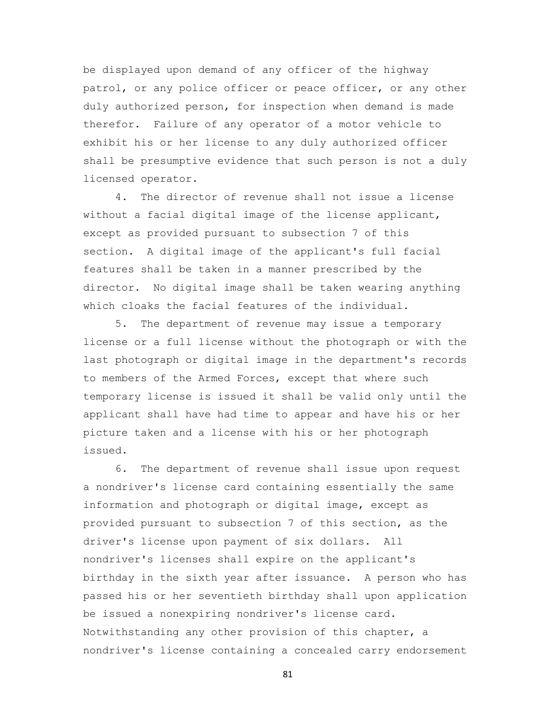be displayed upon demand of any officer of the highway patrol, or any police officer or peace officer, or any other duly authorized person, for inspection when demand is made therefor. Failure of any operator of a motor vehicle to exhibit his or her license to any duly authorized officer shall be presumptive evidence that such person is not a duly licensed operator.

 4. The director of revenue shall not issue a license without a facial digital image of the license applicant, except as provided pursuant to subsection 7 of this section. A digital image of the applicant's full facial features shall be taken in a manner prescribed by the director. No digital image shall be taken wearing anything which cloaks the facial features of the individual.

 5. The department of revenue may issue a temporary license or a full license without the photograph or with the last photograph or digital image in the department's records to members of the Armed Forces, except that where such temporary license is issued it shall be valid only until the applicant shall have had time to appear and have his or her picture taken and a license with his or her photograph issued.

 6. The department of revenue shall issue upon request a nondriver's license card containing essentially the same information and photograph or digital image, except as provided pursuant to subsection 7 of this section, as the driver's license upon payment of six dollars. All nondriver's licenses shall expire on the applicant's birthday in the sixth year after issuance. A person who has passed his or her seventieth birthday shall upon application be issued a nonexpiring nondriver's license card. Notwithstanding any other provision of this chapter, a nondriver's license containing a concealed carry endorsement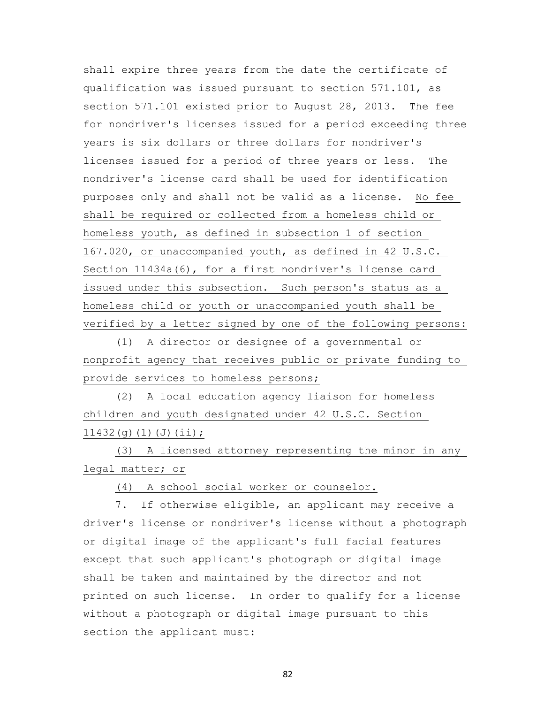shall expire three years from the date the certificate of qualification was issued pursuant to section 571.101, as section 571.101 existed prior to August 28, 2013. The fee for nondriver's licenses issued for a period exceeding three years is six dollars or three dollars for nondriver's licenses issued for a period of three years or less. The nondriver's license card shall be used for identification purposes only and shall not be valid as a license. No fee shall be required or collected from a homeless child or homeless youth, as defined in subsection 1 of section 167.020, or unaccompanied youth, as defined in 42 U.S.C. Section 11434a(6), for a first nondriver's license card issued under this subsection. Such person's status as a homeless child or youth or unaccompanied youth shall be verified by a letter signed by one of the following persons:

 (1) A director or designee of a governmental or nonprofit agency that receives public or private funding to provide services to homeless persons;

 (2) A local education agency liaison for homeless children and youth designated under 42 U.S.C. Section 11432(g)(1)(J)(ii);

 (3) A licensed attorney representing the minor in any legal matter; or

(4) A school social worker or counselor.

 7. If otherwise eligible, an applicant may receive a driver's license or nondriver's license without a photograph or digital image of the applicant's full facial features except that such applicant's photograph or digital image shall be taken and maintained by the director and not printed on such license. In order to qualify for a license without a photograph or digital image pursuant to this section the applicant must: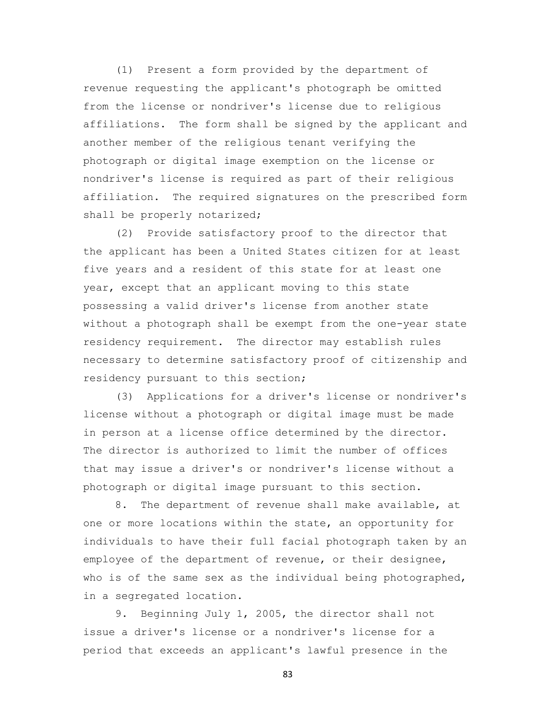(1) Present a form provided by the department of revenue requesting the applicant's photograph be omitted from the license or nondriver's license due to religious affiliations. The form shall be signed by the applicant and another member of the religious tenant verifying the photograph or digital image exemption on the license or nondriver's license is required as part of their religious affiliation. The required signatures on the prescribed form shall be properly notarized;

 (2) Provide satisfactory proof to the director that the applicant has been a United States citizen for at least five years and a resident of this state for at least one year, except that an applicant moving to this state possessing a valid driver's license from another state without a photograph shall be exempt from the one-year state residency requirement. The director may establish rules necessary to determine satisfactory proof of citizenship and residency pursuant to this section;

 (3) Applications for a driver's license or nondriver's license without a photograph or digital image must be made in person at a license office determined by the director. The director is authorized to limit the number of offices that may issue a driver's or nondriver's license without a photograph or digital image pursuant to this section.

 8. The department of revenue shall make available, at one or more locations within the state, an opportunity for individuals to have their full facial photograph taken by an employee of the department of revenue, or their designee, who is of the same sex as the individual being photographed, in a segregated location.

 9. Beginning July 1, 2005, the director shall not issue a driver's license or a nondriver's license for a period that exceeds an applicant's lawful presence in the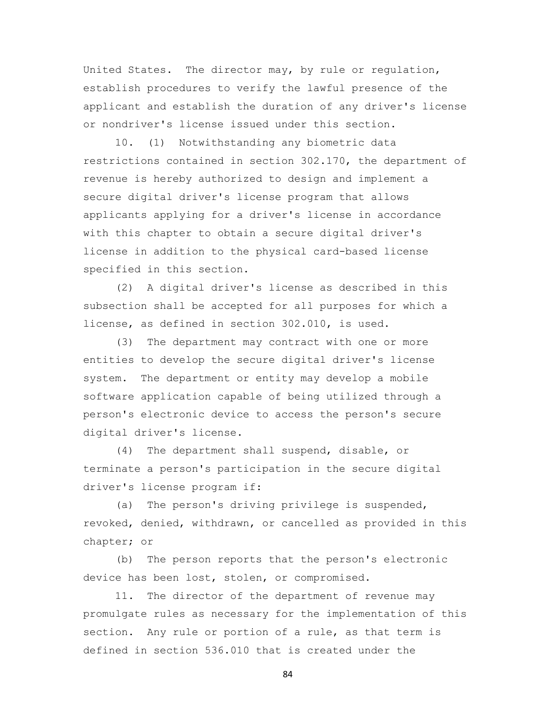United States. The director may, by rule or regulation, establish procedures to verify the lawful presence of the applicant and establish the duration of any driver's license or nondriver's license issued under this section.

 10. (1) Notwithstanding any biometric data restrictions contained in section 302.170, the department of revenue is hereby authorized to design and implement a secure digital driver's license program that allows applicants applying for a driver's license in accordance with this chapter to obtain a secure digital driver's license in addition to the physical card-based license specified in this section.

 (2) A digital driver's license as described in this subsection shall be accepted for all purposes for which a license, as defined in section 302.010, is used.

 (3) The department may contract with one or more entities to develop the secure digital driver's license system. The department or entity may develop a mobile software application capable of being utilized through a person's electronic device to access the person's secure digital driver's license.

 (4) The department shall suspend, disable, or terminate a person's participation in the secure digital driver's license program if:

 (a) The person's driving privilege is suspended, revoked, denied, withdrawn, or cancelled as provided in this chapter; or

 (b) The person reports that the person's electronic device has been lost, stolen, or compromised.

 11. The director of the department of revenue may promulgate rules as necessary for the implementation of this section. Any rule or portion of a rule, as that term is defined in section 536.010 that is created under the